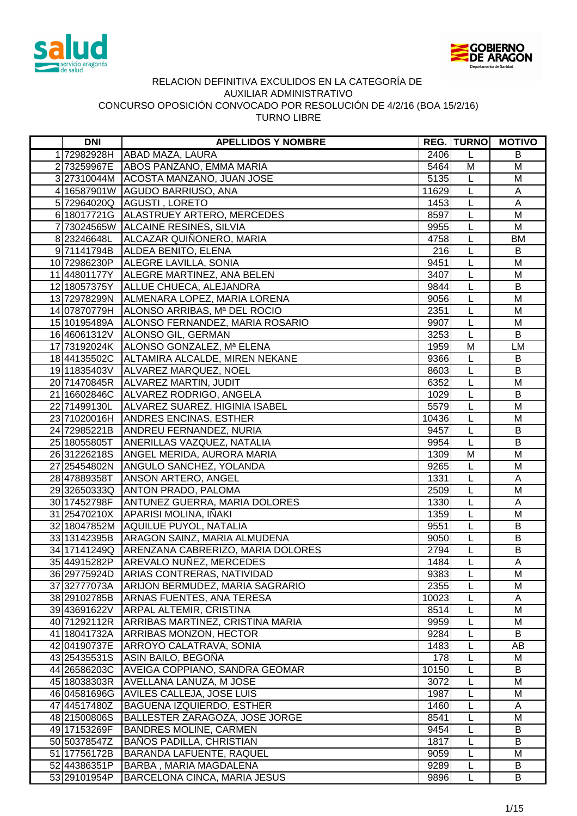



| <b>DNI</b>   | <b>APELLIDOS Y NOMBRE</b>                      |       | <b>REG. TURNO</b> | <b>MOTIVO</b>  |
|--------------|------------------------------------------------|-------|-------------------|----------------|
| 172982928H   | ABAD MAZA, LAURA                               | 2406  | L                 | B              |
|              | 2 73259967E ABOS PANZANO, EMMA MARIA           | 5464  | M                 | M              |
|              | 3 27310044M ACOSTA MANZANO, JUAN JOSE          | 5135  | L                 | M              |
|              | 4 16587901W AGUDO BARRIUSO, ANA                | 11629 | L                 | A              |
|              | 5 72964020Q AGUSTI, LORETO                     | 1453  | L                 | $\mathsf{A}$   |
|              | 6 18017721G ALASTRUEY ARTERO, MERCEDES         | 8597  | $\overline{L}$    | M              |
|              | 7 73024565W ALCAINE RESINES, SILVIA            | 9955  | $\overline{L}$    | M              |
| 8 23246648L  | ALCAZAR QUIÑONERO, MARIA                       | 4758  | τ                 | <b>BM</b>      |
|              | 9 71141794B ALDEA BENITO, ELENA                | 216   | $\overline{L}$    | B              |
|              | 10 72986230P ALEGRE LAVILLA, SONIA             | 9451  | $\overline{L}$    | M              |
|              | 11 44801177Y ALEGRE MARTINEZ, ANA BELEN        | 3407  | $\overline{L}$    | $\overline{M}$ |
|              | 12 18057375Y ALLUE CHUECA, ALEJANDRA           | 9844  | $\overline{L}$    | $\overline{B}$ |
|              | 13 72978299N ALMENARA LOPEZ, MARIA LORENA      | 9056  | L                 | M              |
| 14 07870779H | ALONSO ARRIBAS, Mª DEL ROCIO                   | 2351  | L                 | M              |
| 15 10195489A | ALONSO FERNANDEZ, MARIA ROSARIO                | 9907  | L                 | M              |
| 16 46061312V | ALONSO GIL, GERMAN                             | 3253  | L                 | B              |
| 17 73192024K | ALONSO GONZALEZ, Mª ELENA                      | 1959  | M                 | LM             |
|              | 18 44135502C ALTAMIRA ALCALDE, MIREN NEKANE    | 9366  | L                 | B              |
|              | 19 11835403V ALVAREZ MARQUEZ, NOEL             | 8603  | L                 | B              |
|              | 20 71470845R ALVAREZ MARTIN, JUDIT             | 6352  | L                 | M              |
|              | 21 16602846C ALVAREZ RODRIGO, ANGELA           | 1029  | L                 | $\sf B$        |
| 22 71499130L | ALVAREZ SUAREZ, HIGINIA ISABEL                 | 5579  | L                 | M              |
|              | 23 71020016H ANDRES ENCINAS, ESTHER            | 10436 | L                 | M              |
|              | 24 72985221B ANDREU FERNANDEZ, NURIA           | 9457  | $\overline{L}$    | B              |
| 25 18055805T | ANERILLAS VAZQUEZ, NATALIA                     | 9954  | L                 | B              |
| 2631226218S  | ANGEL MERIDA, AURORA MARIA                     | 1309  | M                 | M              |
|              | 27 25454802N ANGULO SANCHEZ, YOLANDA           | 9265  | L                 | M              |
| 28 47889358T | <b>ANSON ARTERO, ANGEL</b>                     | 1331  | $\overline{L}$    | $\mathsf A$    |
|              | 29 32650333Q ANTON PRADO, PALOMA               | 2509  | L                 | M              |
| 30 17452798F | <b>ANTUNEZ GUERRA, MARIA DOLORES</b>           | 1330  | L                 | A              |
| 31 25470210X | APARISI MOLINA, IÑAKI                          | 1359  | L                 | M              |
|              | 32 18047852M AQUILUE PUYOL, NATALIA            | 9551  | L                 | B              |
|              | 33 13142395B ARAGON SAINZ, MARIA ALMUDENA      | 9050  | L                 | B              |
|              | 34 17141249Q ARENZANA CABRERIZO, MARIA DOLORES | 2794  | L                 | B              |
| 35 44915282P | AREVALO NUÑEZ, MERCEDES                        | 1484  | L                 | A              |
| 36 29775924D | ARIAS CONTRERAS, NATIVIDAD                     | 9383  | L                 | M              |
| 37 32777073A | ARIJON BERMUDEZ, MARIA SAGRARIO                | 2355  | L                 | M              |
| 38 29102785B | <b>ARNAS FUENTES, ANA TERESA</b>               | 10023 | L                 | A              |
| 39 43691622V | <b>ARPAL ALTEMIR, CRISTINA</b>                 | 8514  | L                 | M              |
| 40 71292112R | ARRIBAS MARTINEZ, CRISTINA MARIA               | 9959  | L                 | M              |
| 41 18041732A | <b>ARRIBAS MONZON, HECTOR</b>                  | 9284  | L                 | B              |
| 42 04190737E | ARROYO CALATRAVA, SONIA                        | 1483  | L                 | AB             |
| 43 25435531S | ASIN BAILO, BEGOÑA                             | 178   | L                 | М              |
| 44 26586203C | <b>AVEIGA COPPIANO, SANDRA GEOMAR</b>          | 10150 | L                 | $\overline{B}$ |
| 45 18038303R | AVELLANA LANUZA, M JOSE                        | 3072  | L                 | M              |
| 46 04581696G | <b>AVILES CALLEJA, JOSE LUIS</b>               | 1987  | L                 | M              |
| 47 44517480Z | <b>BAGUENA IZQUIERDO, ESTHER</b>               | 1460  | L                 | A              |
| 48 21500806S | BALLESTER ZARAGOZA, JOSE JORGE                 | 8541  | L                 | M              |
| 49 17153269F | <b>BANDRES MOLINE, CARMEN</b>                  | 9454  | L                 | B              |
| 50 50378547Z | <b>BAÑOS PADILLA, CHRISTIAN</b>                | 1817  | L                 | B              |
| 51 17756172B | BARANDA LAFUENTE, RAQUEL                       | 9059  | L                 | M              |
| 52 44386351P | <b>BARBA, MARIA MAGDALENA</b>                  | 9289  | L                 | B              |
| 53 29101954P | <b>BARCELONA CINCA, MARIA JESUS</b>            | 9896  | L                 | B              |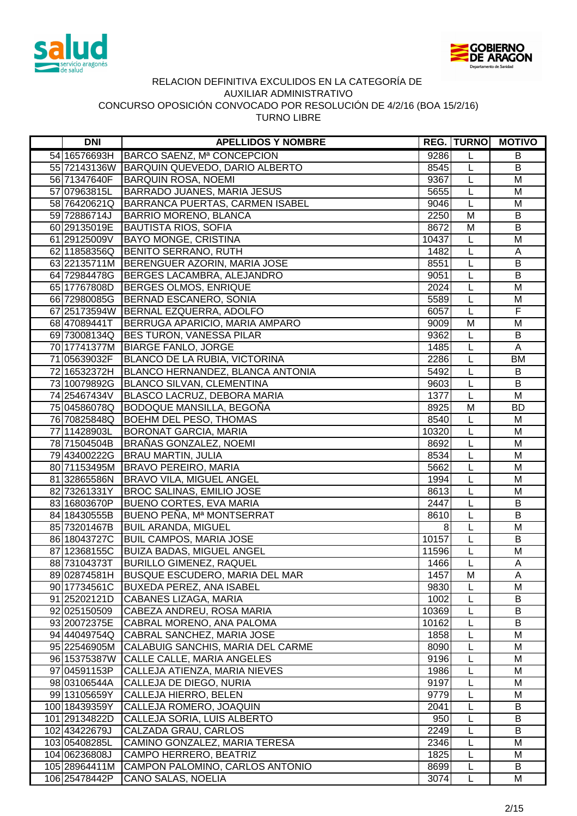



| <b>DNI</b>    | <b>APELLIDOS Y NOMBRE</b>                    |       | <b>REG. TURNO</b> | <b>MOTIVO</b>           |
|---------------|----------------------------------------------|-------|-------------------|-------------------------|
| 54 16576693H  | BARCO SAENZ, Mª CONCEPCION                   | 9286  | L                 | B                       |
|               | 55 72143136W BARQUIN QUEVEDO, DARIO ALBERTO  | 8545  | L                 | $\overline{B}$          |
| 56 71347640F  | <b>BARQUIN ROSA, NOEMI</b>                   | 9367  | L                 | M                       |
| 57 07963815L  | BARRADO JUANES, MARIA JESUS                  | 5655  | L                 | M                       |
|               | 58 76420621Q BARRANCA PUERTAS, CARMEN ISABEL | 9046  | L                 | M                       |
| 59 72886714J  | <b>BARRIO MORENO, BLANCA</b>                 | 2250  | M                 | B                       |
| 60 29135019E  | <b>BAUTISTA RIOS, SOFIA</b>                  | 8672  | M                 | B                       |
|               | 61 29125009V BAYO MONGE, CRISTINA            | 10437 | L                 | M                       |
|               | 62 11858356Q BENITO SERRANO, RUTH            | 1482  | L                 | A                       |
|               | 63 22135711M BERENGUER AZORIN, MARIA JOSE    | 8551  | L                 | $\overline{B}$          |
|               | 64 72984478G   BERGES LACAMBRA, ALEJANDRO    | 9051  | L                 | B                       |
| 65 17767808D  | BERGES OLMOS, ENRIQUE                        | 2024  | L                 | M                       |
| 66 72980085G  | BERNAD ESCANERO, SONIA                       | 5589  | L                 | M                       |
|               | 67 25173594W BERNAL EZQUERRA, ADOLFO         | 6057  | L                 | $\overline{\mathsf{F}}$ |
| 68 47089441T  | BERRUGA APARICIO, MARIA AMPARO               | 9009  | M                 | M                       |
|               | 69 73008134Q BES TURON, VANESSA PILAR        | 9362  | L                 | B                       |
|               | 70 17741377M BIARGE FANLO, JORGE             | 1485  | L                 | A                       |
| 71 05639032F  | BLANCO DE LA RUBIA, VICTORINA                | 2286  | L                 | <b>BM</b>               |
| 72 16532372H  | BLANCO HERNANDEZ, BLANCA ANTONIA             | 5492  | L                 | B                       |
| 73 10079892G  | <b>BLANCO SILVAN, CLEMENTINA</b>             | 9603  | L                 | B                       |
| 74 25467434V  | BLASCO LACRUZ, DEBORA MARIA                  | 1377  | L                 | M                       |
| 75 04586078Q  | BODOQUE MANSILLA, BEGOÑA                     | 8925  | M                 | <b>BD</b>               |
|               | 76 70825848Q BOEHM DEL PESO, THOMAS          | 8540  | L                 | M                       |
| 77 11428903L  | <b>BORONAT GARCIA, MARIA</b>                 | 10320 | L                 | M                       |
| 78 71504504B  | BRAÑAS GONZALEZ, NOEMI                       | 8692  | L                 | M                       |
| 79 43400222G  | <b>BRAU MARTIN, JULIA</b>                    | 8534  | $\overline{L}$    | $\overline{\mathsf{M}}$ |
|               | 80 71153495M BRAVO PEREIRO, MARIA            | 5662  | $\mathsf{L}$      | M                       |
| 81 32865586N  | <b>BRAVO VILA, MIGUEL ANGEL</b>              | 1994  | L                 | $\overline{\mathsf{M}}$ |
| 82 73261331Y  | <b>BROC SALINAS, EMILIO JOSE</b>             | 8613  | L                 | M                       |
| 83 16803670P  | <b>BUENO CORTES, EVA MARIA</b>               | 2447  | $\mathsf{L}$      | B                       |
| 84 18430555B  | BUENO PEÑA, Mª MONTSERRAT                    | 8610  | L                 | $\overline{B}$          |
| 85 73201467B  | <b>BUIL ARANDA, MIGUEL</b>                   | 8     | L                 | M                       |
| 86 18043727C  | <b>BUIL CAMPOS, MARIA JOSE</b>               | 10157 | L                 | B                       |
| 87 12368155C  | <b>BUIZA BADAS, MIGUEL ANGEL</b>             | 11596 | L                 | M                       |
| 88 73104373T  | <b>BURILLO GIMENEZ, RAQUEL</b>               | 1466  | $\mathsf L$       | A                       |
| 89 02874581H  | BUSQUE ESCUDERO, MARIA DEL MAR               | 1457  | M                 | A                       |
| 90 17734561C  | BUXEDA PEREZ, ANA ISABEL                     | 9830  |                   | M                       |
| 91 25202121D  | CABANES LIZAGA, MARIA                        | 1002  | L                 | B                       |
| 92 025150509  | CABEZA ANDREU, ROSA MARIA                    | 10369 | L                 | B                       |
| 93 20072375E  | CABRAL MORENO, ANA PALOMA                    | 10162 | L                 | B                       |
| 94 44049754Q  | CABRAL SANCHEZ, MARIA JOSE                   | 1858  | L                 | M                       |
| 95 22546905M  | CALABUIG SANCHIS, MARIA DEL CARME            | 8090  | L                 | M                       |
| 96 15375387W  | CALLE CALLE, MARIA ANGELES                   | 9196  | L                 | M                       |
| 97 04591153P  | CALLEJA ATIENZA, MARIA NIEVES                | 1986  | L                 | M                       |
| 98 03106544A  | CALLEJA DE DIEGO, NURIA                      | 9197  | L                 | M                       |
| 99 13105659Y  | CALLEJA HIERRO, BELEN                        | 9779  | L                 | M                       |
| 100 18439359Y | CALLEJA ROMERO, JOAQUIN                      | 2041  | L                 | B                       |
| 101 29134822D | CALLEJA SORIA, LUIS ALBERTO                  | 950   | L                 | B                       |
| 102 43422679J | CALZADA GRAU, CARLOS                         | 2249  | L                 | B                       |
| 103 05408285L | CAMINO GONZALEZ, MARIA TERESA                | 2346  | L                 | M                       |
| 104 06236808J | CAMPO HERRERO, BEATRIZ                       | 1825  | L                 | M                       |
| 105 28964411M | CAMPON PALOMINO, CARLOS ANTONIO              | 8699  | L                 | B                       |
| 106 25478442P | CANO SALAS, NOELIA                           | 3074  | L                 | М                       |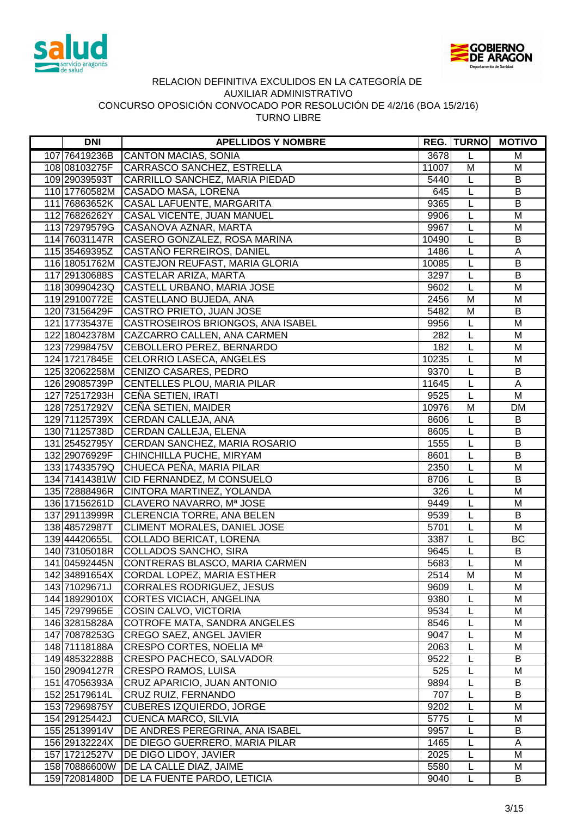



| <b>DNI</b>    | <b>APELLIDOS Y NOMBRE</b>                                      |              |                | <b>REG. TURNO MOTIVO</b> |
|---------------|----------------------------------------------------------------|--------------|----------------|--------------------------|
| 107 76419236B | <b>CANTON MACIAS, SONIA</b>                                    | 3678         | L              | M                        |
| 108 08103275F | <b>CARRASCO SANCHEZ, ESTRELLA</b>                              | 11007        | M              | M                        |
| 109 29039593T | CARRILLO SANCHEZ, MARIA PIEDAD                                 | 5440         | L              | B                        |
| 110 17760582M | CASADO MASA, LORENA                                            | 645          | L              | B                        |
| 111 76863652K | CASAL LAFUENTE, MARGARITA                                      | 9365         | L              | B                        |
| 112 76826262Y | CASAL VICENTE, JUAN MANUEL                                     | 9906         | L              | M                        |
| 113 72979579G | CASANOVA AZNAR, MARTA                                          | 9967         | L              | M                        |
| 114 76031147R | CASERO GONZALEZ, ROSA MARINA                                   | 10490        | L              | B                        |
| 115 35469395Z | CASTAÑO FERREIROS, DANIEL                                      | 1486         | L              | A                        |
| 116 18051762M | CASTEJON REUFAST, MARIA GLORIA                                 | 10085        | L              | $\overline{B}$           |
| 117 29130688S | CASTELAR ARIZA, MARTA                                          | 3297         | L              | $\overline{B}$           |
| 118 30990423Q | CASTELL URBANO, MARIA JOSE                                     | 9602         | L              | M                        |
| 119 29100772E | CASTELLANO BUJEDA, ANA                                         | 2456         | M              | M                        |
| 120 73156429F | CASTRO PRIETO, JUAN JOSE                                       | 5482         | M              | B                        |
| 121 17735437E | CASTROSEIROS BRIONGOS, ANA ISABEL                              | 9956         | L              | M                        |
| 122 18042378M | CAZCARRO CALLEN, ANA CARMEN                                    | 282          | L              | M                        |
| 123 72998475V | CEBOLLERO PEREZ, BERNARDO                                      | 182          | L              | M                        |
| 124 17217845E | CELORRIO LASECA, ANGELES                                       | 10235        | L              | M                        |
|               | 125 32062258M CENIZO CASARES, PEDRO                            | 9370         | L              | B                        |
| 126 29085739P | CENTELLES PLOU, MARIA PILAR                                    | 11645        | L              | $\mathsf{A}$             |
| 127 72517293H | CEÑA SETIEN, IRATI                                             | 9525         | L              | M                        |
| 128 72517292V | CEÑA SETIEN, MAIDER                                            | 10976        | M              | <b>DM</b>                |
| 129 71125739X | CERDAN CALLEJA, ANA                                            | 8606         | L              | B                        |
| 130 71125738D | <b>CERDAN CALLEJA, ELENA</b>                                   | 8605         | L              | B                        |
| 131 25452795Y | CERDAN SANCHEZ, MARIA ROSARIO                                  | 1555         | L              | B                        |
| 132 29076929F | CHINCHILLA PUCHE, MIRYAM                                       | 8601         | $\overline{L}$ | $\overline{B}$           |
| 133 17433579Q | CHUECA PEÑA, MARIA PILAR                                       | 2350         | L              | M                        |
| 134 71414381W | CID FERNANDEZ, M CONSUELO                                      | 8706         | L              | $\overline{B}$           |
| 135 72888496R | CINTORA MARTINEZ, YOLANDA                                      | 326          | L              | $\overline{\mathsf{M}}$  |
| 136 17156261D | CLAVERO NAVARRO, Mª JOSE                                       | 9449         | L              | M                        |
| 137 29113999R | CLERENCIA TORRE, ANA BELEN                                     | 9539         | L              | $\overline{B}$           |
| 138 48572987T | CLIMENT MORALES, DANIEL JOSE                                   | 5701         | L              | M                        |
| 139 44420655L | <b>COLLADO BERICAT, LORENA</b>                                 | 3387         | L              | BC                       |
| 140 73105018R | <b>COLLADOS SANCHO, SIRA</b>                                   | 9645         | L              | B                        |
| 141 04592445N | CONTRERAS BLASCO, MARIA CARMEN                                 | 5683         | L              | M                        |
| 142 34891654X | CORDAL LOPEZ, MARIA ESTHER                                     | 2514         | M              | м                        |
| 143 71029671J | CORRALES RODRIGUEZ, JESUS                                      | 9609         |                | M                        |
| 144 18929010X | CORTES VICIACH, ANGELINA                                       | 9380         | L              | M                        |
| 145 72979965E | COSIN CALVO, VICTORIA                                          | 9534         | L              | M                        |
| 146 32815828A | COTROFE MATA, SANDRA ANGELES                                   | 8546         | L              | M                        |
| 147 70878253G | CREGO SAEZ, ANGEL JAVIER                                       | 9047         | L              | M                        |
| 148 71118188A | CRESPO CORTES, NOELIA Ma                                       | 2063         | L              | M                        |
| 149 48532288B | CRESPO PACHECO, SALVADOR                                       | 9522         | L              | B                        |
| 150 29094127R | <b>CRESPO RAMOS, LUISA</b>                                     | 525          | L              | M                        |
| 151 47056393A | CRUZ APARICIO, JUAN ANTONIO                                    | 9894         | L              | B                        |
| 152 25179614L | CRUZ RUIZ, FERNANDO                                            | 707          | L              | B                        |
| 153 72969875Y | <b>CUBERES IZQUIERDO, JORGE</b>                                | 9202         | L              | M                        |
| 154 29125442J | <b>CUENCA MARCO, SILVIA</b>                                    | 5775         | L              | M                        |
| 155 25139914V | DE ANDRES PEREGRINA, ANA ISABEL                                | 9957         | L              | B                        |
| 156 29132224X | DE DIEGO GUERRERO, MARIA PILAR                                 | 1465         | L              | A<br>M                   |
| 157 17212527V | DE DIGO LIDOY, JAVIER<br>158 70886600W DE LA CALLE DIAZ, JAIME | 2025<br>5580 | L              | M                        |
| 159 72081480D | DE LA FUENTE PARDO, LETICIA                                    | 9040         | L<br>Г         | B                        |
|               |                                                                |              |                |                          |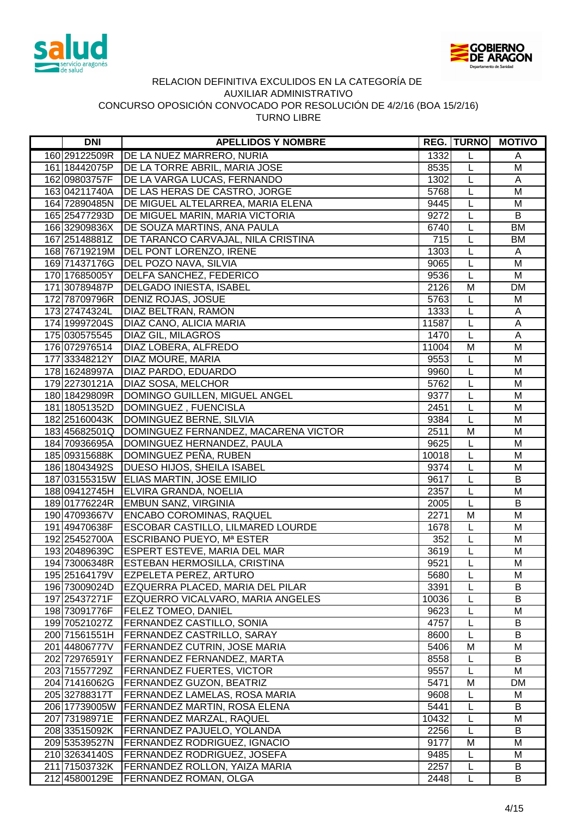



| <b>DNI</b>    | <b>APELLIDOS Y NOMBRE</b>                          |       |                | <b>REG. TURNO MOTIVO</b> |
|---------------|----------------------------------------------------|-------|----------------|--------------------------|
| 160 29122509R | <b>DE LA NUEZ MARRERO, NURIA</b>                   | 1332  | L              | Α                        |
| 161 18442075P | DE LA TORRE ABRIL, MARIA JOSE                      | 8535  | L              | M                        |
| 162 09803757F | DE LA VARGA LUCAS, FERNANDO                        | 1302  | $\mathsf L$    | A                        |
| 163 04211740A | DE LAS HERAS DE CASTRO, JORGE                      | 5768  | L              | M                        |
| 164 72890485N | DE MIGUEL ALTELARREA, MARIA ELENA                  | 9445  | L              | M                        |
| 165 25477293D | <b>DE MIGUEL MARIN, MARIA VICTORIA</b>             | 9272  | L              | B                        |
| 166 32909836X | DE SOUZA MARTINS, ANA PAULA                        | 6740  | L              | <b>BM</b>                |
| 167 25148881Z | DE TARANCO CARVAJAL, NILA CRISTINA                 | 715   | L              | BM                       |
| 168 76719219M | <b>DEL PONT LORENZO, IRENE</b>                     | 1303  | L              | A                        |
|               | 169 71437176G   DEL POZO NAVA, SILVIA              | 9065  | L              | M                        |
|               | 170 17685005Y   DELFA SANCHEZ, FEDERICO            | 9536  | $\overline{L}$ | $\overline{M}$           |
| 171 30789487P | <b>DELGADO INIESTA, ISABEL</b>                     | 2126  | M              | <b>DM</b>                |
| 172 78709796R | <b>DENIZ ROJAS, JOSUE</b>                          | 5763  | L              | M                        |
| 173 27474324L | DIAZ BELTRAN, RAMON                                | 1333  | L              | A                        |
| 174 19997204S | <b>DIAZ CANO, ALICIA MARIA</b>                     | 11587 | L              | $\overline{A}$           |
| 175 030575545 | <b>DIAZ GIL, MILAGROS</b>                          | 1470  | L              | $\mathsf A$              |
| 176 072976514 | DIAZ LOBERA, ALFREDO                               | 11004 | M              | M                        |
| 17733348212Y  | <b>DIAZ MOURE, MARIA</b>                           | 9553  | L              | M                        |
| 178 16248997A | <b>DIAZ PARDO, EDUARDO</b>                         | 9960  | L              | M                        |
|               | 179 22730121A   DIAZ SOSA, MELCHOR                 | 5762  | L              | M                        |
| 180 18429809R | DOMINGO GUILLEN, MIGUEL ANGEL                      | 9377  | L              | M                        |
|               | 181 18051352D DOMINGUEZ, FUENCISLA                 | 2451  | L              | M                        |
|               | 182 25160043K DOMINGUEZ BERNE, SILVIA              | 9384  | L              | M                        |
|               | 183 45682501Q DOMINGUEZ FERNANDEZ, MACARENA VICTOR | 2511  | M              | M                        |
|               | 184 70936695A DOMINGUEZ HERNANDEZ, PAULA           | 9625  | $\overline{L}$ | $\overline{M}$           |
|               | 185 09315688K DOMINGUEZ PEÑA, RUBEN                | 10018 | L              | M                        |
|               | 186 18043492S   DUESO HIJOS, SHEILA ISABEL         | 9374  | $\overline{L}$ | $\overline{M}$           |
|               | 187 03155315W ELIAS MARTIN, JOSE EMILIO            | 9617  | $\mathsf{L}$   | $\overline{B}$           |
|               | 188 09412745H ELVIRA GRANDA, NOELIA                | 2357  | L              | $\overline{M}$           |
|               | 189 01776224R EMBUN SANZ, VIRGINIA                 | 2005  | L              | B                        |
| 190 47093667V | <b>ENCABO COROMINAS, RAQUEL</b>                    | 2271  | $\overline{M}$ | $\overline{M}$           |
| 191 49470638F | <b>ESCOBAR CASTILLO, LILMARED LOURDE</b>           | 1678  | $\mathsf{L}$   | M                        |
| 192 25452700A | <b>ESCRIBANO PUEYO, Mª ESTER</b>                   | 352   | L              | M                        |
|               | 193 20489639C ESPERT ESTEVE, MARIA DEL MAR         | 3619  | L              | M                        |
|               | 194 73006348R ESTEBAN HERMOSILLA, CRISTINA         | 9521  | L              | M                        |
| 195 25164179V | <b>EZPELETA PEREZ, ARTURO</b>                      | 5680  | L              | м                        |
| 196 73009024D | EZQUERRA PLACED, MARIA DEL PILAR                   | 3391  | L              | B                        |
| 197 25437271F | EZQUERRO VICALVARO, MARIA ANGELES                  | 10036 |                | B                        |
| 198 73091776F | <b>FELEZ TOMEO, DANIEL</b>                         | 9623  | L              | M                        |
| 199 70521027Z | <b>FERNANDEZ CASTILLO, SONIA</b>                   | 4757  | L              | B                        |
| 200 71561551H | <b>FERNANDEZ CASTRILLO, SARAY</b>                  | 8600  | L              | B                        |
| 20144806777V  | <b>FERNANDEZ CUTRIN, JOSE MARIA</b>                | 5406  | M              | M                        |
| 202 72976591Y | <b>FERNANDEZ FERNANDEZ, MARTA</b>                  | 8558  | L              | B                        |
| 203 71557729Z | <b>FERNANDEZ FUERTES, VICTOR</b>                   | 9557  | L              | M                        |
| 204 71416062G | <b>FERNANDEZ GUZON, BEATRIZ</b>                    | 5471  | M              | DM                       |
| 205 32788317T | <b>FERNANDEZ LAMELAS, ROSA MARIA</b>               | 9608  | L              | M                        |
| 206 17739005W | <b>FERNANDEZ MARTIN, ROSA ELENA</b>                | 5441  | L              | B                        |
| 207 73198971E | <b>FERNANDEZ MARZAL, RAQUEL</b>                    | 10432 | L              | M                        |
| 208 33515092K | <b>FERNANDEZ PAJUELO, YOLANDA</b>                  | 2256  | L              | B                        |
| 209 53539527N | <b>FERNANDEZ RODRIGUEZ, IGNACIO</b>                | 9177  | M              | M                        |
| 210 32634140S | <b>FERNANDEZ RODRIGUEZ, JOSEFA</b>                 | 9485  | L              | M                        |
|               | 211 71503732K   FERNANDEZ ROLLON, YAIZA MARIA      | 2257  | L              | B                        |
| 212 45800129E | <b>FERNANDEZ ROMAN, OLGA</b>                       | 2448  | L              | B                        |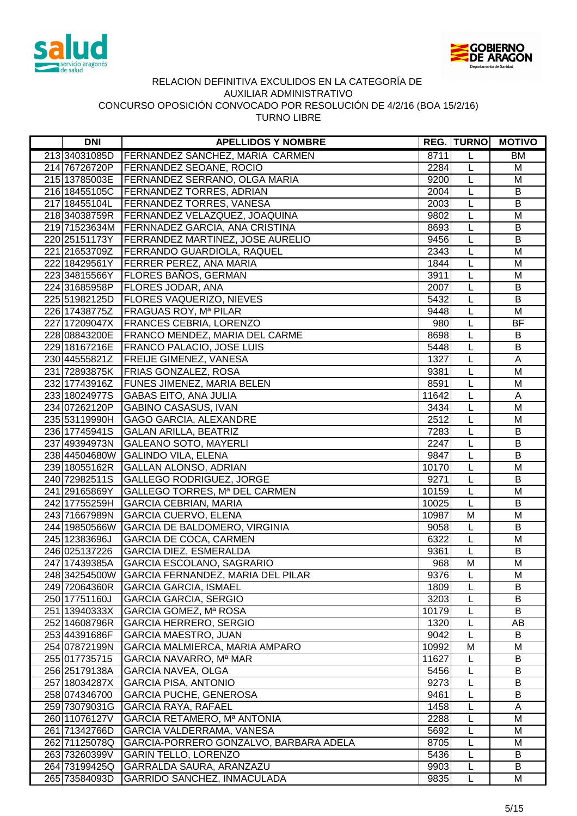



| <b>DNI</b>                     | <b>APELLIDOS Y NOMBRE</b>                                   |               | <b>REG. TURNO</b> | <b>MOTIVO</b>  |
|--------------------------------|-------------------------------------------------------------|---------------|-------------------|----------------|
| 21334031085D                   | FERNANDEZ SANCHEZ, MARIA CARMEN                             | 8711          | L                 | <b>BM</b>      |
| 214 76726720P                  | <b>FERNANDEZ SEOANE, ROCIO</b>                              | 2284          | L                 | M              |
|                                | 215 13785003E   FERNANDEZ SERRANO, OLGA MARIA               | 9200          | $\mathsf{L}$      | M              |
| 216 18455105C                  | <b>FERNANDEZ TORRES, ADRIAN</b>                             | 2004          | L                 | B              |
| 217 18455104L                  | <b>FERNANDEZ TORRES, VANESA</b>                             | 2003          | L                 | B              |
|                                | 218 34038759R   FERNANDEZ VELAZQUEZ, JOAQUINA               | 9802          | $\overline{L}$    | M              |
|                                | 219 71523634M FERNNADEZ GARCIA, ANA CRISTINA                | 8693          | L                 | B              |
| 220 25151173Y                  | <b>FERRANDEZ MARTINEZ, JOSE AURELIO</b>                     | 9456          | L                 | B              |
| 221 21653709Z                  | <b>FERRANDO GUARDIOLA, RAQUEL</b>                           | 2343          | L                 | M              |
| 222 18429561Y                  | <b>FERRER PEREZ, ANA MARIA</b>                              | 1844          | $\overline{L}$    | M              |
| 22334815566Y                   | <b>FLORES BAÑOS, GERMAN</b>                                 | 3911          | L                 | M              |
| 224 31685958P                  | <b>FLORES JODAR, ANA</b>                                    | 2007          | L                 | B              |
| 225 51982125D                  | <b>FLORES VAQUERIZO, NIEVES</b>                             | 5432          | L                 | $\overline{B}$ |
| 226 17438775Z                  | <b>FRAGUAS ROY, Mª PILAR</b>                                | 9448          | L                 | M              |
| 227 17209047X                  | <b>FRANCES CEBRIA, LORENZO</b>                              | 980           | L                 | <b>BF</b>      |
|                                | 228 08843200E   FRANCO MENDEZ, MARIA DEL CARME              | 8698          | L                 | B              |
|                                | 229 18167216E   FRANCO PALACIO, JOSE LUIS                   | 5448          | L                 | B              |
|                                | 230 44555821Z   FREIJE GIMENEZ, VANESA                      | 1327          | L                 | A              |
|                                | 231 72893875K   FRIAS GONZALEZ, ROSA                        | 9381          | L                 | M              |
| 232 17743916Z                  | <b>FUNES JIMENEZ, MARIA BELEN</b>                           | 8591          | L                 | M              |
| 233 18024977S                  | <b>GABAS EITO, ANA JULIA</b>                                | 11642         | L                 | A              |
| 234 07262120P                  | <b>GABINO CASASUS, IVAN</b>                                 | 3434          | L                 | M              |
| 235 53119990H                  | <b>GAGO GARCIA, ALEXANDRE</b>                               | 2512          | L                 | M              |
| 236 17745941S                  | <b>GALAN ARILLA, BEATRIZ</b>                                | 7283          | L                 | B              |
| 237 49394973N                  | <b>GALEANO SOTO, MAYERLI</b>                                | 2247          | L                 | B              |
|                                | 238 44504680W GALINDO VILA, ELENA                           | 9847          | $\overline{L}$    | $\overline{B}$ |
|                                | 239 18055162R GALLAN ALONSO, ADRIAN                         | 10170         | L                 | M              |
| 240 72982511S                  | <b>GALLEGO RODRIGUEZ, JORGE</b>                             | 9271          | L                 | B              |
| 241 291 658 69 Y               | GALLEGO TORRES, Mª DEL CARMEN                               | 10159         | L                 | M              |
| 242 17755259H                  | <b>GARCIA CEBRIAN, MARIA</b>                                | 10025         | $\mathsf{L}$      | $\overline{B}$ |
| 243 71667989N                  | <b>GARCIA CUERVO, ELENA</b>                                 | 10987         | M                 | M              |
| 244 19850566W                  | <b>GARCIA DE BALDOMERO, VIRGINIA</b>                        | 9058          | L                 | B              |
| 245 12383696J                  | <b>GARCIA DE COCA, CARMEN</b>                               | 6322          | L                 | M              |
| 246 025137226                  | <b>GARCIA DIEZ, ESMERALDA</b>                               | 9361          | L                 | B              |
| 247 17439385A                  | GARCIA ESCOLANO, SAGRARIO                                   | 968           | M                 | M              |
| 248 34254500W                  | GARCIA FERNANDEZ, MARIA DEL PILAR                           | 9376          | L                 | M              |
| 249 72064360R                  | <b>GARCIA GARCIA, ISMAEL</b>                                | 1809          |                   | B              |
| 250 17751160J                  | <b>GARCIA GARCIA, SERGIO</b>                                | 3203          | L                 | B              |
| 251 13940333X                  | GARCIA GOMEZ, Mª ROSA                                       | 10179         | L                 | B              |
| 252 14608796R                  | <b>GARCIA HERRERO, SERGIO</b>                               | 1320          | L                 | AB             |
| 253 44391686F                  | <b>GARCIA MAESTRO, JUAN</b>                                 | 9042          | L                 | B              |
| 254 07872199N                  | GARCIA MALMIERCA, MARIA AMPARO                              | 10992         | M                 | M<br>B         |
| 255 017735715                  | GARCIA NAVARRO, Mª MAR<br><b>GARCIA NAVEA, OLGA</b>         | 11627<br>5456 | L                 | B              |
| 256 25179138A                  | <b>GARCIA PISA, ANTONIO</b>                                 | 9273          | L                 | B              |
| 257 18034287X<br>258 074346700 |                                                             | 9461          | L                 | B              |
| 259 73079031G                  | <b>GARCIA PUCHE, GENEROSA</b><br><b>GARCIA RAYA, RAFAEL</b> | 1458          | L<br>L            | Α              |
| 260 11076127V                  | GARCIA RETAMERO, Mª ANTONIA                                 | 2288          | L                 | M              |
| 261 71342766D                  | GARCIA VALDERRAMA, VANESA                                   | 5692          | L                 | M              |
| 262 71125078Q                  | GARCIA-PORRERO GONZALVO, BARBARA ADELA                      | 8705          | L                 | M              |
| 263 73260399V                  | <b>GARIN TELLO, LORENZO</b>                                 | 5436          | L                 | B              |
| 264 73199425Q                  | GARRALDA SAURA, ARANZAZU                                    | 9903          | L                 | B              |
| 265 73584093D                  | GARRIDO SANCHEZ, INMACULADA                                 | 9835          | L                 | М              |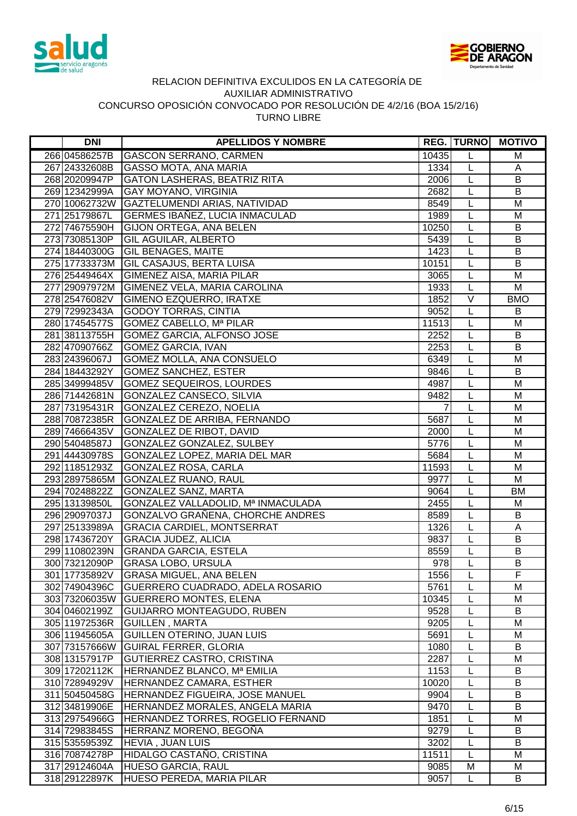



| <b>DNI</b>    | <b>APELLIDOS Y NOMBRE</b>                   |                | <b>REG. TURNO</b> | <b>MOTIVO</b>           |
|---------------|---------------------------------------------|----------------|-------------------|-------------------------|
| 266 04586257B | <b>GASCON SERRANO, CARMEN</b>               | 10435          | L                 | M                       |
| 267 24332608B | <b>GASSO MOTA, ANA MARIA</b>                | 1334           | L                 | A                       |
| 268 20209947P | GATON LASHERAS, BEATRIZ RITA                | 2006           | L                 | B                       |
| 269 12342999A | <b>GAY MOYANO, VIRGINIA</b>                 | 2682           | L                 | B                       |
|               | 270 10062732W GAZTELUMENDI ARIAS, NATIVIDAD | 8549           | L                 | M                       |
| 271 25179867L | <b>GERMES IBAÑEZ, LUCIA INMACULAD</b>       | 1989           | L                 | M                       |
| 272 74675590H | <b>GIJON ORTEGA, ANA BELEN</b>              | 10250          | L                 | B                       |
| 273 73085130P | <b>GIL AGUILAR, ALBERTO</b>                 | 5439           | L                 | B                       |
| 274 18440300G | <b>GIL BENAGES, MAITE</b>                   | 1423           | L                 | $\overline{B}$          |
| 275 17733373M | <b>GIL CASAJUS, BERTA LUISA</b>             | 10151          | L                 | B                       |
| 276 25449464X | GIMENEZ AISA, MARIA PILAR                   | 3065           | L                 | M                       |
| 277 29097972M | GIMENEZ VELA, MARIA CAROLINA                | 1933           | L                 | M                       |
| 278 25476082V | GIMENO EZQUERRO, IRATXE                     | 1852           | $\overline{\vee}$ | <b>BMO</b>              |
| 279 72992343A | <b>GODOY TORRAS, CINTIA</b>                 | 9052           | L                 | B                       |
| 280 17454577S | <b>GOMEZ CABELLO, Mª PILAR</b>              | 11513          | L                 | M                       |
| 28138113755H  | GOMEZ GARCIA, ALFONSO JOSE                  | 2252           | L                 | B                       |
| 282 47090766Z | <b>GOMEZ GARCIA, IVAN</b>                   | 2253           | L                 | $\overline{B}$          |
| 283 24396067J | GOMEZ MOLLA, ANA CONSUELO                   | 6349           | L                 | M                       |
| 284 18443292Y | <b>GOMEZ SANCHEZ, ESTER</b>                 | 9846           | L                 | B                       |
| 285 34999485V | <b>GOMEZ SEQUEIROS, LOURDES</b>             | 4987           | L                 | M                       |
| 286 71442681N | GONZALEZ CANSECO, SILVIA                    | 9482           | L                 | M                       |
| 287 73195431R | GONZALEZ CEREZO, NOELIA                     | $\overline{7}$ | L                 | M                       |
| 288 70872385R | GONZALEZ DE ARRIBA, FERNANDO                | 5687           | L                 | M                       |
| 289 74666435V | <b>GONZALEZ DE RIBOT, DAVID</b>             | 2000           | L                 | M                       |
| 290 54048587J | GONZALEZ GONZALEZ, SULBEY                   | 5776           | L                 | $\overline{\mathsf{M}}$ |
| 291 44430978S | GONZALEZ LOPEZ, MARIA DEL MAR               | 5684           | $\mathsf{L}$      | M                       |
| 292 11851293Z | <b>GONZALEZ ROSA, CARLA</b>                 | 11593          | L                 | M                       |
| 293 28975865M | <b>GONZALEZ RUANO, RAUL</b>                 | 9977           | L                 | M                       |
| 294 70248822Z | GONZALEZ SANZ, MARTA                        | 9064           | L                 | <b>BM</b>               |
| 295 13139850L | GONZALEZ VALLADOLID, Mª INMACULADA          | 2455           | L                 | M                       |
| 296 29097037J | GONZALVO GRAÑENA, CHORCHE ANDRES            | 8589           | L                 | $\overline{B}$          |
| 297 25133989A | <b>GRACIA CARDIEL, MONTSERRAT</b>           | 1326           | L                 | Α                       |
| 298 17436720Y | <b>GRACIA JUDEZ, ALICIA</b>                 | 9837           | L                 | B                       |
| 299 11080239N | <b>GRANDA GARCIA, ESTELA</b>                | 8559           | L                 | B                       |
| 300 73212090P | <b>GRASA LOBO, URSULA</b>                   | 978            | $\mathsf{L}$      | B                       |
| 301 17735892V | <b>GRASA MIGUEL, ANA BELEN</b>              | 1556           | L                 | F                       |
| 302 74904396C | GUERRERO CUADRADO, ADELA ROSARIO            | 5761           | L                 | M                       |
| 303 73206035W | <b>GUERRERO MONTES, ELENA</b>               | 10345          | L                 | M                       |
| 304 04602199Z | GUIJARRO MONTEAGUDO, RUBEN                  | 9528           | L                 | B                       |
| 305 11972536R | <b>GUILLEN, MARTA</b>                       | 9205           | L                 | M                       |
| 306 11945605A | GUILLEN OTERINO, JUAN LUIS                  | 5691           | L                 | M                       |
| 307 73157666W | <b>GUIRAL FERRER, GLORIA</b>                | 1080           | L                 | B                       |
| 308 13157917P | <b>GUTIERREZ CASTRO, CRISTINA</b>           | 2287           | L                 | M                       |
| 309 17202112K | HERNANDEZ BLANCO, Mª EMILIA                 | 1153           | L                 | B                       |
| 310 72894929V | HERNANDEZ CAMARA, ESTHER                    | 10020          | L                 | B                       |
| 311 50450458G | HERNANDEZ FIGUEIRA, JOSE MANUEL             | 9904           | L                 | B                       |
| 312 34819906E | HERNANDEZ MORALES, ANGELA MARIA             | 9470           | L                 | B                       |
| 313 29754966G | HERNANDEZ TORRES, ROGELIO FERNAND           | 1851           | L                 | M                       |
| 314 72983845S | HERRANZ MORENO, BEGOÑA                      | 9279           | L                 | B                       |
| 315 53559539Z | <b>HEVIA, JUAN LUIS</b>                     | 3202           | L                 | B                       |
| 316 70874278P | HIDALGO CASTAÑO, CRISTINA                   | 11511          | L                 | M                       |
| 317 29124604A | HUESO GARCIA, RAUL                          | 9085           | M                 | M                       |
| 318 29122897K | <b>HUESO PEREDA, MARIA PILAR</b>            | 9057           | L                 | B                       |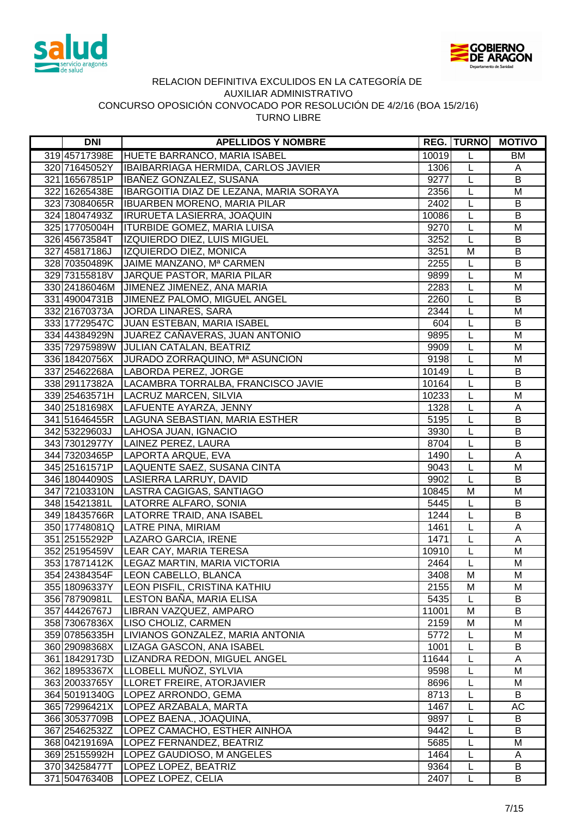



| <b>DNI</b>                     | <b>APELLIDOS Y NOMBRE</b>                                |                   |                | <b>REG. TURNO MOTIVO</b> |
|--------------------------------|----------------------------------------------------------|-------------------|----------------|--------------------------|
| 319 45717398E                  | HUETE BARRANCO, MARIA ISABEL                             | 10019             | L              | <b>BM</b>                |
| 320 71645052Y                  | IBAIBARRIAGA HERMIDA, CARLOS JAVIER                      | 1306              | L              | A                        |
| 321 16567851P                  | IBAÑEZ GONZALEZ, SUSANA                                  | $92\overline{77}$ | $\mathsf L$    | B                        |
| 322 16265438E                  | IBARGOITIA DIAZ DE LEZANA, MARIA SORAYA                  | 2356              | L              | M                        |
| 323 73084065R                  | <b>IBUARBEN MORENO, MARIA PILAR</b>                      | 2402              | L              | B                        |
| 324 18047493Z                  | <b>IRURUETA LASIERRA, JOAQUIN</b>                        | 10086             | L              | B                        |
| 325 17705004H                  | <b>ITURBIDE GOMEZ, MARIA LUISA</b>                       | 9270              | L              | M                        |
| 326 45673584T                  | IZQUIERDO DIEZ, LUIS MIGUEL                              | 3252              | L              | B                        |
| 327 45817186J                  | <b>IZQUIERDO DIEZ, MONICA</b>                            | 3251              | M              | B                        |
|                                | 328 70350489K JAIME MANZANO, Mª CARMEN                   | 2255              | L              | B                        |
|                                | 329 73155818V JARQUE PASTOR, MARIA PILAR                 | 9899              | $\overline{L}$ | M                        |
|                                | 330 24186046M JIMENEZ JIMENEZ, ANA MARIA                 | 2283              | L              | M                        |
| 331 49004731B                  | JIMENEZ PALOMO, MIGUEL ANGEL                             | 2260              | L              | B                        |
| 332 21670373A                  | <b>JORDA LINARES, SARA</b>                               | 2344              | L              | M                        |
| 333 17729547C                  | <b>JUAN ESTEBAN, MARIA ISABEL</b>                        | 604               | L              | B                        |
| 334 44384929N                  | JUAREZ CAÑAVERAS, JUAN ANTONIO                           | 9895              | L              | M                        |
|                                | 335 72975989W JULIAN CATALAN, BEATRIZ                    | 9909              | L              | M                        |
|                                | 336 18420756X JURADO ZORRAQUINO, Mª ASUNCION             | 9198              | L              | M                        |
|                                | 337 25462268A LABORDA PEREZ, JORGE                       | 10149             | L              | B                        |
|                                | 338 29117382A   LACAMBRA TORRALBA, FRANCISCO JAVIE       | 10164             | L              | B                        |
|                                | 339 25463571H   LACRUZ MARCEN, SILVIA                    | 10233             | L              | M                        |
|                                | 340 25181698X   LAFUENTE AYARZA, JENNY                   | 1328              | L              | A                        |
|                                | 341 51646455R LAGUNA SEBASTIAN, MARIA ESTHER             | 5195              | L              | B                        |
|                                | 342 53229603J   LAHOSA JUAN, IGNACIO                     | 3930              | L              | B                        |
|                                | 343 73012977Y LAINEZ PEREZ, LAURA                        | 8704              | L              | $\overline{B}$           |
|                                | 344 73203465P LAPORTA ARQUE, EVA                         | 1490              | L              | A                        |
|                                | 345 25161571P LAQUENTE SAEZ, SUSANA CINTA                | 9043              | $\overline{L}$ | M                        |
|                                | 346 18044090S LASIERRA LARRUY, DAVID                     | 9902              | L              | B                        |
|                                | 347 72103310N LASTRA CAGIGAS, SANTIAGO                   | 10845             | M              | $\overline{\mathsf{M}}$  |
| 348 15421381L                  | LATORRE ALFARO, SONIA                                    | 5445              | L              | B                        |
| 349 18435766R                  | LATORRE TRAID, ANA ISABEL                                | 1244              | $\mathsf{L}$   | $\overline{B}$           |
|                                | 350 17748081Q LATRE PINA, MIRIAM                         | 1461              | L              | $\mathsf A$              |
|                                | 351 25155292P   LAZARO GARCIA, IRENE                     | 1471              | L              | A                        |
|                                | 352 25195459V LEAR CAY, MARIA TERESA                     | 10910             | L              | M                        |
|                                | 353 17871412K   LEGAZ MARTIN, MARIA VICTORIA             | 2464              | L              | M                        |
| 354 24384354F                  | LEON CABELLO, BLANCA                                     | 3408              | M              | м                        |
| 355 18096337Y                  | LEON PISFIL, CRISTINA KATHIU                             | 2155              | M              | M                        |
| 356 78790981L                  | LESTON BAÑA, MARIA ELISA                                 | 5435              | L              | B                        |
| 357 44426767J                  | LIBRAN VAZQUEZ, AMPARO                                   | 11001             | M              | B                        |
| 358 73067836X                  | <b>LISO CHOLIZ, CARMEN</b>                               | 2159              | M              | M                        |
| 359 07856335H                  | LIVIANOS GONZALEZ, MARIA ANTONIA                         | 5772              | L              | M                        |
| 360 29098368X                  | LIZAGA GASCON, ANA ISABEL                                | 1001              | L              | B                        |
| 361 18429173D                  | LIZANDRA REDON, MIGUEL ANGEL                             | 11644             | L              | Α                        |
| 362 18953367X                  | LLOBELL MUÑOZ, SYLVIA                                    | 9598              | L              | M                        |
| 363 20033765Y                  | LLORET FREIRE, ATORJAVIER                                | 8696              | L              | M                        |
| 364 50191340G                  | LOPEZ ARRONDO, GEMA                                      | 8713              | L              | B                        |
| 365 72996421X                  | LOPEZ ARZABALA, MARTA                                    | 1467              | L              | AC                       |
| 366 30537709B                  | LOPEZ BAENA., JOAQUINA,                                  | 9897<br>9442      | L              | B<br>B                   |
| 367 25462532Z<br>368 04219169A | LOPEZ CAMACHO, ESTHER AINHOA<br>LOPEZ FERNANDEZ, BEATRIZ | 5685              | L<br>L         | M                        |
| 369 25155992H                  | LOPEZ GAUDIOSO, M ANGELES                                | 1464              | L              | A                        |
| 370 34258477T                  | LOPEZ LOPEZ, BEATRIZ                                     | 9364              | L              | B                        |
| 371 50476340B                  | LOPEZ LOPEZ, CELIA                                       | 2407              | L              | B                        |
|                                |                                                          |                   |                |                          |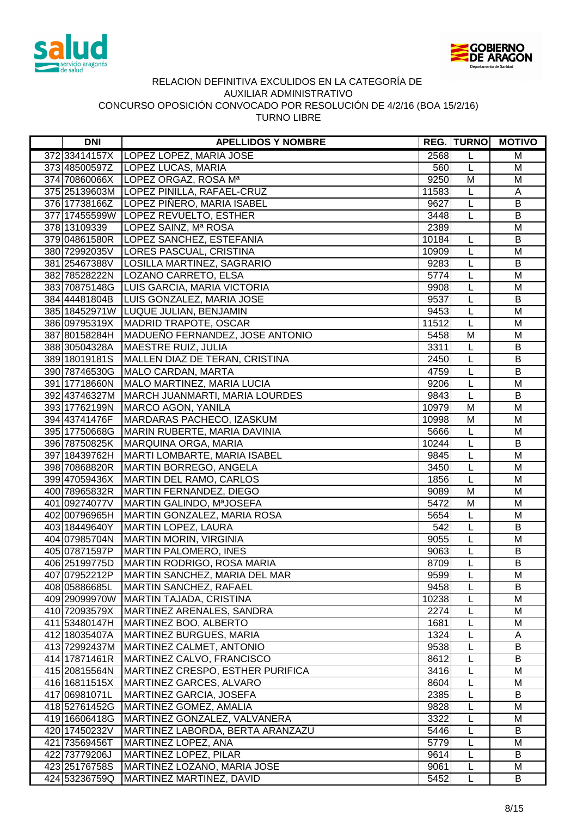



| <b>DNI</b>    | <b>APELLIDOS Y NOMBRE</b>                 |       |                | <b>REG. TURNO MOTIVO</b> |
|---------------|-------------------------------------------|-------|----------------|--------------------------|
| 372 33414157X | LOPEZ LOPEZ, MARIA JOSE                   | 2568  | L              | M                        |
| 373 48500597Z | LOPEZ LUCAS, MARIA                        | 560   | L              | M                        |
|               | 374 70860066X LOPEZ ORGAZ, ROSA Ma        | 9250  | M              | M                        |
|               | 375 25139603M LOPEZ PINILLA, RAFAEL-CRUZ  | 11583 | L              | A                        |
| 376 17738166Z | LOPEZ PIÑERO, MARIA ISABEL                | 9627  | L              | B                        |
|               | 377 17455599W LOPEZ REVUELTO, ESTHER      | 3448  | L              | B                        |
| 378 13109339  | LOPEZ SAINZ, Mª ROSA                      | 2389  |                | M                        |
|               | 379 04861580R   LOPEZ SANCHEZ, ESTEFANIA  | 10184 | L              | B                        |
|               | 380 72992035V   LORES PASCUAL, CRISTINA   | 10909 | L              | M                        |
| 381 25467388V | LOSILLA MARTINEZ, SAGRARIO                | 9283  | L              | $\sf B$                  |
| 382 78528222N | LOZANO CARRETO, ELSA                      | 5774  | L              | M                        |
|               | 383 70875148G LUIS GARCIA, MARIA VICTORIA | 9908  | L              | M                        |
| 384 44481804B | LUIS GONZALEZ, MARIA JOSE                 | 9537  | L              | B                        |
| 385 18452971W | LUQUE JULIAN, BENJAMIN                    | 9453  | L              | M                        |
| 386 09795319X | MADRID TRAPOTE, OSCAR                     | 11512 | L              | M                        |
| 387 80158284H | MADUEÑO FERNANDEZ, JOSE ANTONIO           | 5458  | M              | M                        |
| 388 30504328A | MAESTRE RUIZ, JULIA                       | 3311  | L              | B                        |
| 389 18019181S | MALLEN DIAZ DE TERAN, CRISTINA            | 2450  | L              | $\sf B$                  |
| 390 78746530G | MALO CARDAN, MARTA                        | 4759  | L              | B                        |
| 391 17718660N | MALO MARTINEZ, MARIA LUCIA                | 9206  | L              | M                        |
| 392 43746327M | MARCH JUANMARTI, MARIA LOURDES            | 9843  | L              | B                        |
| 393 17762199N | MARCO AGON, YANILA                        | 10979 | M              | M                        |
| 394 43741476F | MARDARAS PACHECO, IZASKUM                 | 10998 | M              | M                        |
| 395 17750668G | MARIN RUBERTE, MARIA DAVINIA              | 5666  | L              | M                        |
| 396 78750825K | MARQUINA ORGA, MARIA                      | 10244 | L              | $\overline{B}$           |
| 397 18439762H | MARTI LOMBARTE, MARIA ISABEL              | 9845  | L              | M                        |
| 398 70868820R | MARTIN BORREGO, ANGELA                    | 3450  | L              | M                        |
| 399 47059436X | MARTIN DEL RAMO, CARLOS                   | 1856  | L              | M                        |
| 400 78965832R | MARTIN FERNANDEZ, DIEGO                   | 9089  | $\overline{M}$ | M                        |
| 401 09274077V | MARTIN GALINDO, MªJOSEFA                  | 5472  | M              | M                        |
| 402 00796965H | MARTIN GONZALEZ, MARIA ROSA               | 5654  | L              | M                        |
| 403 18449640Y | MARTIN LOPEZ, LAURA                       | 542   | L              | B                        |
| 404 07985704N | MARTIN MORIN, VIRGINIA                    | 9055  | L              | M                        |
| 405 07871597P | MARTIN PALOMERO, INES                     | 9063  | L              | B                        |
| 406 25199775D | MARTIN RODRIGO, ROSA MARIA                | 8709  | L              | B                        |
| 407 07952212P | MARTIN SANCHEZ, MARIA DEL MAR             | 9599  | L              | M                        |
| 408 05886685L | MARTIN SANCHEZ, RAFAEL                    | 9458  | L              | B                        |
| 409 29099970W | MARTIN TAJADA, CRISTINA                   | 10238 | L              | M                        |
| 410 72093579X | MARTINEZ ARENALES, SANDRA                 | 2274  | L              | M                        |
| 411 53480147H | MARTINEZ BOO, ALBERTO                     | 1681  | L              | M                        |
| 412 18035407A | <b>MARTINEZ BURGUES, MARIA</b>            | 1324  | L              | A                        |
| 413 72992437M | MARTINEZ CALMET, ANTONIO                  | 9538  | L              | B                        |
| 414 17871461R | MARTINEZ CALVO, FRANCISCO                 | 8612  | L              | B                        |
| 415 20815564N | MARTINEZ CRESPO, ESTHER PURIFICA          | 3416  | L              | M                        |
| 416 16811515X | MARTINEZ GARCES, ALVARO                   | 8604  | L              | М                        |
| 417 06981071L | <b>MARTINEZ GARCIA, JOSEFA</b>            | 2385  | L              | B                        |
| 418 52761452G | MARTINEZ GOMEZ, AMALIA                    | 9828  | L              | M                        |
| 419 16606418G | MARTINEZ GONZALEZ, VALVANERA              | 3322  | L              | M                        |
| 420 17450232V | MARTINEZ LABORDA, BERTA ARANZAZU          | 5446  | L              | B                        |
| 421 73569456T | MARTINEZ LOPEZ, ANA                       | 5779  | L              | M                        |
| 422 73779206J | MARTINEZ LOPEZ, PILAR                     | 9614  | L              | B                        |
| 423 25176758S | MARTINEZ LOZANO, MARIA JOSE               | 9061  | L              | M                        |
| 424 53236759Q | MARTINEZ MARTINEZ, DAVID                  | 5452  | L              | B                        |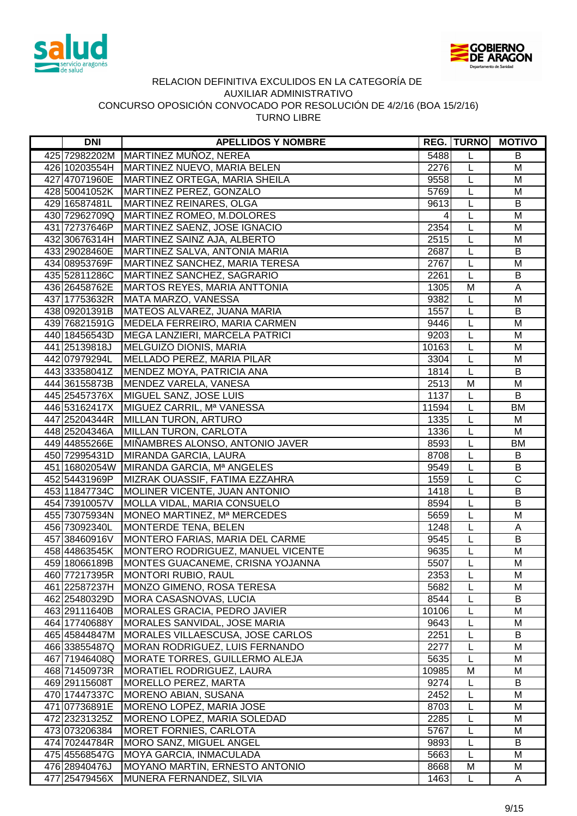



| <b>DNI</b>                     | <b>APELLIDOS Y NOMBRE</b>                                    |               | <b>REG. TURNO</b> | <b>MOTIVO</b>         |
|--------------------------------|--------------------------------------------------------------|---------------|-------------------|-----------------------|
|                                | 425 72982202M MARTINEZ MUÑOZ, NEREA                          | 5488          | L                 | B                     |
|                                | 426 10203554H MARTINEZ NUEVO, MARIA BELEN                    | 2276          | $\mathsf{L}$      | M                     |
|                                | 427 47071960E   MARTINEZ ORTEGA, MARIA SHEILA                | 9558          | L                 | M                     |
|                                | 428 50041052K   MARTINEZ PEREZ, GONZALO                      | 5769          | L                 | M                     |
| 429 16587481L                  | MARTINEZ REINARES, OLGA                                      | 9613          | L                 | B                     |
|                                | 430 72962709Q MARTINEZ ROMEO, M.DOLORES                      | 4             | L                 | M                     |
| 431 72737646P                  | MARTINEZ SAENZ, JOSE IGNACIO                                 | 2354          | L                 | M                     |
| 432 30676314H                  | MARTINEZ SAINZ AJA, ALBERTO                                  | 2515          | L                 | M                     |
| 433 29028460E                  | MARTINEZ SALVA, ANTONIA MARIA                                | 2687          | L                 | B                     |
| 434 08953769F                  | MARTINEZ SANCHEZ, MARIA TERESA                               | 2767          | L                 | M                     |
| 435 52811286C                  | MARTINEZ SANCHEZ, SAGRARIO                                   | 2261          | L                 | B                     |
| 436 26458762E                  | <b>MARTOS REYES, MARIA ANTTONIA</b>                          | 1305          | M                 | A                     |
| 437 17753632R                  | MATA MARZO, VANESSA                                          | 9382          | L                 | M                     |
| 438 09201391B                  | MATEOS ALVAREZ, JUANA MARIA                                  | 1557          | L                 | B                     |
| 439 76821591G                  | MEDELA FERREIRO, MARIA CARMEN                                | 9446          | L                 | M                     |
| 440 18456543D                  | MEGA LANZIERI, MARCELA PATRICI                               | 9203          | L                 | M                     |
| 441 25139818J                  | MELGUIZO DIONIS, MARIA                                       | 10163         | L                 | M                     |
| 442 07979294L                  | MELLADO PEREZ, MARIA PILAR                                   | 3304          | L                 | M                     |
| 443 33358041Z                  | MENDEZ MOYA, PATRICIA ANA                                    | 1814          | L                 | B                     |
| 444 36155873B                  | MENDEZ VARELA, VANESA                                        | 2513          | M                 | M                     |
| 445 25457376X                  | MIGUEL SANZ, JOSE LUIS                                       | 1137          | L                 | B                     |
| 446 53162417X                  | MIGUEZ CARRIL, Mª VANESSA                                    | 11594         | L                 | <b>BM</b>             |
| 447 25204344R                  | <b>MILLAN TURON, ARTURO</b>                                  | 1335          | L                 | M                     |
| 448 25204346A                  | MILLAN TURON, CARLOTA                                        | 1336          | L                 | M                     |
| 449 44855266E                  | MIÑAMBRES ALONSO, ANTONIO JAVER                              | 8593          | L                 | <b>BM</b>             |
| 450 72995431D                  | MIRANDA GARCIA, LAURA                                        | 8708          | L                 | B                     |
|                                | 451 16802054W MIRANDA GARCIA, Mª ANGELES                     | 9549          | L                 | $\overline{B}$        |
| 452 54431969P                  | MIZRAK OUASSIF, FATIMA EZZAHRA                               | 1559          | L                 | $\overline{\text{c}}$ |
| 453 11847734C                  | MOLINER VICENTE, JUAN ANTONIO                                | 1418          | L                 | $\overline{B}$        |
| 454 73910057V                  | <b>MOLLA VIDAL, MARIA CONSUELO</b>                           | 8594          | L                 | $\overline{B}$        |
| 455 73075934N                  | MONEO MARTINEZ, Mª MERCEDES                                  | 5659          | L                 | M                     |
| 456 73092340L                  | MONTERDE TENA, BELEN                                         | 1248          | L                 | Α                     |
| 457 38460916V                  | MONTERO FARIAS, MARIA DEL CARME                              | 9545          | L                 | B                     |
| 458 44863545K                  | MONTERO RODRIGUEZ, MANUEL VICENTE                            | 9635          | L                 | M                     |
| 459 18066189B                  | MONTES GUACANEME, CRISNA YOJANNA                             | 5507          | L                 | M                     |
| 460 77217395R                  | MONTORI RUBIO, RAUL                                          | 2353          | L                 | M                     |
| 461 22587237H                  | MONZO GIMENO, ROSA TERESA                                    | 5682          | L                 | M                     |
| 462 25480329D                  | MORA CASASNOVAS, LUCIA                                       | 8544          | L                 | B                     |
| 463 29111640B                  | MORALES GRACIA, PEDRO JAVIER<br>MORALES SANVIDAL, JOSE MARIA | 10106         | L                 | M                     |
| 464 17740688Y                  |                                                              | 9643          | L                 | M                     |
| 465 45844847M                  | MORALES VILLAESCUSA, JOSE CARLOS                             | 2251          | L<br>L            | B                     |
| 466 33855487Q                  | MORAN RODRIGUEZ, LUIS FERNANDO                               | 2277          |                   | M                     |
| 467 71946408Q                  | <b>MORATE TORRES, GUILLERMO ALEJA</b>                        | 5635<br>10985 | L                 | M                     |
| 468 71450973R                  | <b>MORATIEL RODRIGUEZ, LAURA</b>                             |               | M                 | M                     |
| 469 29115608T                  | <b>MORELLO PEREZ, MARTA</b><br><b>MORENO ABIAN, SUSANA</b>   | 9274<br>2452  | L                 | B                     |
| 470 17447337C                  |                                                              | 8703          | L                 | M<br>M                |
| 471 07736891E                  | MORENO LOPEZ, MARIA JOSE                                     | 2285          | L                 |                       |
| 472 23231325Z                  | MORENO LOPEZ, MARIA SOLEDAD                                  | 5767          | L                 | M                     |
| 473 073206384                  | <b>MORET FORNIES, CARLOTA</b><br>MORO SANZ, MIGUEL ANGEL     | 9893          | L<br>L            | M<br>B                |
| 474 70244784R                  | <b>MOYA GARCIA, INMACULADA</b>                               |               | L                 | M                     |
| 475 45568547G<br>476 28940476J | MOYANO MARTIN, ERNESTO ANTONIO                               | 5663<br>8668  | M                 | M                     |
| 477 25479456X                  | MUNERA FERNANDEZ, SILVIA                                     | 1463          | L                 | A                     |
|                                |                                                              |               |                   |                       |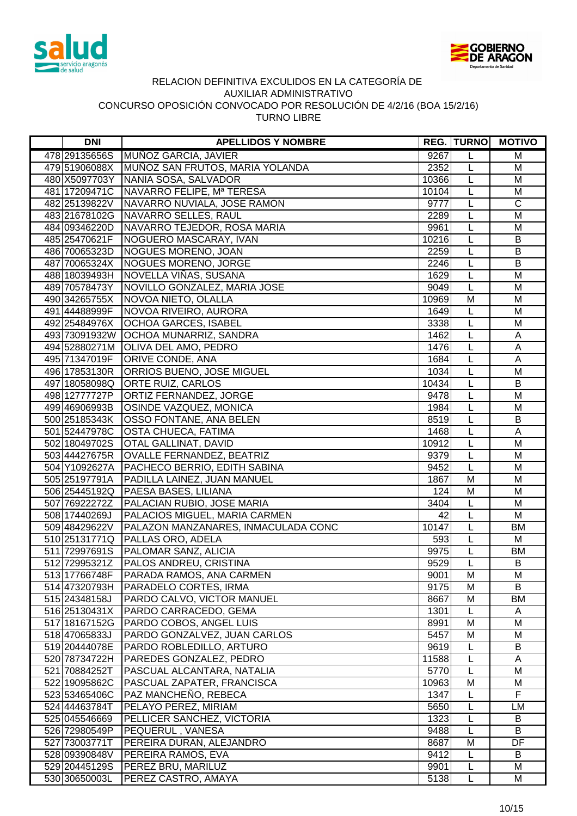



| <b>DNI</b>                     | <b>APELLIDOS Y NOMBRE</b>                                |                 | <b>REG. TURNO</b> | <b>MOTIVO</b>           |
|--------------------------------|----------------------------------------------------------|-----------------|-------------------|-------------------------|
| 478 29135656S                  | MUÑOZ GARCIA, JAVIER                                     | 9267            | L                 | M                       |
|                                | 479 51906088X MUÑOZ SAN FRUTOS, MARIA YOLANDA            | 2352            | L                 | M                       |
|                                | 480 X5097703Y NANIA SOSA, SALVADOR                       | 10366           | L                 | M                       |
| 481 17209471C                  | NAVARRO FELIPE, Mª TERESA                                | 10104           | L                 | M                       |
| 482 25139822V                  | NAVARRO NUVIALA, JOSE RAMON                              | 9777            | L                 | $\mathsf C$             |
| 483 21678102G                  | NAVARRO SELLES, RAUL                                     | 2289            | L                 | M                       |
| 484 09346220D                  | NAVARRO TEJEDOR, ROSA MARIA                              | 9961            | L                 | M                       |
| 485 25470621F                  | NOGUERO MASCARAY, IVAN                                   | 10216           | L                 | B                       |
| 486 70065323D                  | NOGUES MORENO, JOAN                                      | 2259            | L                 | B                       |
| 487 70065324X                  | NOGUES MORENO, JORGE                                     | 2246            | $\overline{L}$    | $\overline{B}$          |
| 488 18039493H                  | NOVELLA VIÑAS, SUSANA                                    | 1629            | L                 | M                       |
| 489 70578473Y                  | NOVILLO GONZALEZ, MARIA JOSE                             | 9049            | L                 | M                       |
| 490 34265755X                  | NOVOA NIETO, OLALLA                                      | 10969           | M                 | M                       |
| 491 44488999F                  | NOVOA RIVEIRO, AURORA                                    | 1649            | L                 | M                       |
| 492 25484976X                  | <b>OCHOA GARCES, ISABEL</b>                              | 3338            | L                 | M                       |
| 493 73091932W                  | OCHOA MUNARRIZ, SANDRA                                   | 1462            | L                 | A                       |
|                                | 494 52880271M OLIVA DEL AMO, PEDRO                       | 1476            | L                 | A                       |
| 495 71347019F                  | <b>ORIVE CONDE, ANA</b>                                  | 1684            | L                 | A                       |
| 496 17853130R                  | <b>ORRIOS BUENO, JOSE MIGUEL</b>                         | 1034            | L                 | M                       |
| 497 18058098Q                  | ORTE RUIZ, CARLOS                                        | 10434           | L                 | B                       |
| 498 12777727P                  | <b>ORTIZ FERNANDEZ, JORGE</b>                            | 9478            | L                 | M                       |
| 499 46906993B                  | <b>OSINDE VAZQUEZ, MONICA</b>                            | 1984            | L                 | M                       |
| 500 25185343K                  | <b>OSSO FONTANE, ANA BELEN</b>                           | 8519            | L                 | B                       |
| 501 52447978C                  | <b>OSTA CHUECA, FATIMA</b>                               | 1468            | L                 | A                       |
| 502 18049702S                  | <b>OTAL GALLINAT, DAVID</b>                              | 10912           | L                 | M                       |
| 503 44427675R                  | <b>OVALLE FERNANDEZ, BEATRIZ</b>                         | 9379            | $\overline{L}$    | $\overline{\mathsf{M}}$ |
| 504 Y1092627A                  | PACHECO BERRIO, EDITH SABINA                             | 9452            | L                 | M                       |
| 505 25197791A                  | PADILLA LAINEZ, JUAN MANUEL                              | 1867            | $\overline{M}$    | $\overline{\mathsf{M}}$ |
| 506 25445192Q                  | PAESA BASES, LILIANA                                     | 124             | M                 | M                       |
| 507 76922272Z                  | PALACIAN RUBIO, JOSE MARIA                               | 3404            | $\mathsf{L}$      | M                       |
| 508 17440269J                  | PALACIOS MIGUEL, MARIA CARMEN                            | $\overline{42}$ | Ĺ                 | M                       |
| 509 48429622V                  | PALAZON MANZANARES, INMACULADA CONC                      | 10147           | $\mathsf{L}$      | <b>BM</b>               |
| 510 25131771Q                  | <b>PALLAS ORO, ADELA</b>                                 | 593             | L                 | M                       |
| 511 72997691S                  | <b>PALOMAR SANZ, ALICIA</b>                              | 9975            | L                 | BM                      |
| 512 72995321Z                  | <b>PALOS ANDREU, CRISTINA</b>                            | 9529            | $\overline{L}$    | B                       |
| 513 1776 6748 F                | PARADA RAMOS, ANA CARMEN                                 | 9001            | M                 | M                       |
| 514 47320793H                  | PARADELO CORTES, IRMA                                    | 9175            | M                 | B                       |
| 515 24348158J                  | PARDO CALVO, VICTOR MANUEL                               | 8667            | M                 | BM                      |
| 516 25130431X                  | PARDO CARRACEDO, GEMA                                    | 1301            | L                 | A                       |
| 517 18167152G                  | PARDO COBOS, ANGEL LUIS                                  | 8991            | M                 | M                       |
| 51847065833J<br>519 20444078E  | PARDO GONZALVEZ, JUAN CARLOS<br>PARDO ROBLEDILLO, ARTURO | 5457<br>9619    | M                 | M<br>B                  |
|                                | PAREDES GONZALEZ, PEDRO                                  | 11588           | L<br>L            | A                       |
| 520 78734722H                  | PASCUAL ALCANTARA, NATALIA                               | 5770            | L                 | M                       |
| 521 70884252T<br>522 19095862C | PASCUAL ZAPATER, FRANCISCA                               | 10963           | M                 | M                       |
| 523 53465406C                  | PAZ MANCHEÑO, REBECA                                     | 1347            | L                 | F                       |
| 524 44463784T                  | PELAYO PEREZ, MIRIAM                                     | 5650            | L                 | LM                      |
| 525 045546669                  | PELLICER SANCHEZ, VICTORIA                               | 1323            | L                 | B                       |
| 526 72980549P                  | PEQUERUL, VANESA                                         | 9488            | L                 | B                       |
| 527 73003771T                  | PEREIRA DURAN, ALEJANDRO                                 | 8687            | M                 | DF                      |
| 528 09390848V                  | PEREIRA RAMOS, EVA                                       | 9412            | L                 | B                       |
| 529 20445129S                  | <b>PEREZ BRU, MARILUZ</b>                                | 9901            | L                 | M                       |
| 530 30650003L                  | PEREZ CASTRO, AMAYA                                      | 5138            | L                 | M                       |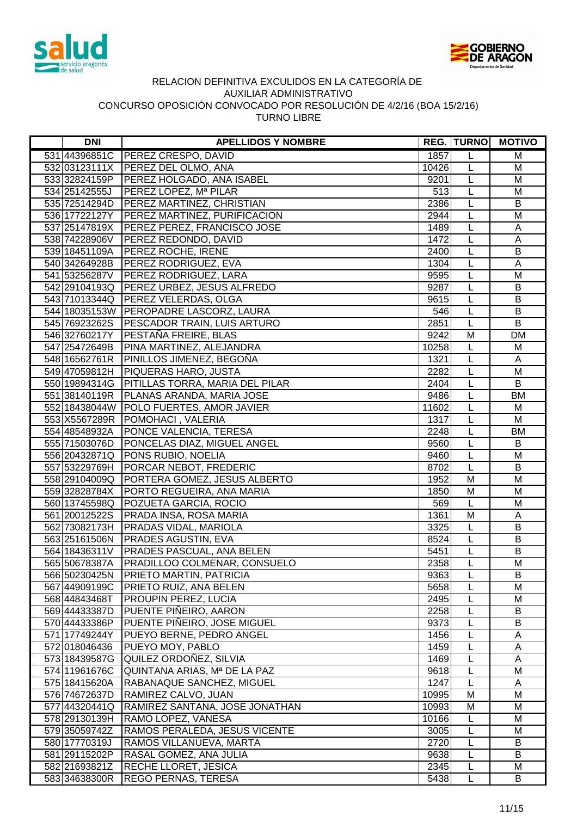



| <b>DNI</b>      | <b>APELLIDOS Y NOMBRE</b>                       |       | <b>REG. TURNO</b> | <b>MOTIVO</b>           |
|-----------------|-------------------------------------------------|-------|-------------------|-------------------------|
|                 | 531 44396851C PEREZ CRESPO, DAVID               | 1857  | L                 | M                       |
|                 | 532 03123111X   PEREZ DEL OLMO, ANA             | 10426 | L                 | M                       |
|                 | 533 32824159P   PEREZ HOLGADO, ANA ISABEL       | 9201  | L                 | M                       |
| 534 2514 2555 J | PEREZ LOPEZ, Mª PILAR                           | 513   | L                 | M                       |
|                 | 535 72514294D PEREZ MARTINEZ, CHRISTIAN         | 2386  | L                 | B                       |
| 536 17722127Y   | <b>PEREZ MARTINEZ, PURIFICACION</b>             | 2944  | L                 | M                       |
| 537 25147819X   | <b>PEREZ PEREZ, FRANCISCO JOSE</b>              | 1489  | L                 | Α                       |
| 538 74228906V   | <b>PEREZ REDONDO, DAVID</b>                     | 1472  | L                 | A                       |
| 539 18451109A   | <b>PEREZ ROCHE, IRENE</b>                       | 2400  | L                 | B                       |
|                 | 540 34264928B PEREZ RODRIGUEZ, EVA              | 1304  | L                 | $\overline{A}$          |
|                 | 541 53256287V   PEREZ RODRIGUEZ, LARA           | 9595  | L                 | M                       |
| 542 29104193Q   | <b>PEREZ URBEZ, JESUS ALFREDO</b>               | 9287  | L                 | B                       |
|                 | 543 71013344Q PEREZ VELERDAS, OLGA              | 9615  | L                 | B                       |
|                 | 544 18035153W   PEROPADRE LASCORZ, LAURA        | 546   | L                 | $\overline{B}$          |
|                 | 545 76923262S PESCADOR TRAIN, LUIS ARTURO       | 2851  | L                 | $\overline{B}$          |
| 546 32760217Y   | <b>PESTAÑA FREIRE, BLAS</b>                     | 9242  | M                 | <b>DM</b>               |
|                 | 547 25472649B   PINA MARTINEZ, ALEJANDRA        | 10258 | L                 | M                       |
|                 | 548 16562761R PINILLOS JIMENEZ, BEGOÑA          | 1321  | L                 | A                       |
|                 | 549 47059812H   PIQUERAS HARO, JUSTA            | 2282  | L                 | M                       |
|                 | 550 19894314G   PITILLAS TORRA, MARIA DEL PILAR | 2404  | L                 | B                       |
|                 | 551 38140119R   PLANAS ARANDA, MARIA JOSE       | 9486  | L                 | BM                      |
|                 | 552 18438044W POLO FUERTES, AMOR JAVIER         | 11602 | L                 | M                       |
|                 | 553 X5567289R   POMOHACI, VALERIA               | 1317  | L                 | M                       |
|                 | 554 48548932A   PONCE VALENCIA, TERESA          | 2248  | L                 | <b>BM</b>               |
|                 | 555 71503076D PONCELAS DIAZ, MIGUEL ANGEL       | 9560  | L                 | B                       |
|                 | 556 20432871Q PONS RUBIO, NOELIA                | 9460  | $\overline{L}$    | M                       |
| 557 53229769H   | PORCAR NEBOT, FREDERIC                          | 8702  | L                 | B                       |
| 558 29104009Q   | PORTERA GOMEZ, JESUS ALBERTO                    | 1952  | $\overline{M}$    | $\overline{\mathsf{M}}$ |
| 559 32828784X   | <b>PORTO REGUEIRA, ANA MARIA</b>                | 1850  | M                 | M                       |
| 560 13745598Q   | POZUETA GARCIA, ROCIO                           | 569   | L                 | M                       |
| 561 20012522S   | <b>PRADA INSA, ROSA MARIA</b>                   | 1361  | M                 | Α                       |
| 562 73082173H   | <b>PRADAS VIDAL, MARIOLA</b>                    | 3325  | L                 | B                       |
|                 | 563 25161506N PRADES AGUSTIN, EVA               | 8524  | L                 | B                       |
|                 | 564 18436311V   PRADES PASCUAL, ANA BELEN       | 5451  | L                 | B                       |
| 565 50678387A   | <b>PRADILLOO COLMENAR, CONSUELO</b>             | 2358  | L                 | M                       |
| 566 50230425N   | <b>PRIETO MARTIN, PATRICIA</b>                  | 9363  | L                 | B                       |
| 567 44909199C   | PRIETO RUIZ, ANA BELEN                          | 5658  |                   | M                       |
| 568 44843468T   | PROUPIN PEREZ, LUCIA                            | 2495  | L                 | M                       |
| 569 44433387D   | PUENTE PIÑEIRO, AARON                           | 2258  | L                 | B                       |
| 570 44433386P   | PUENTE PIÑEIRO, JOSE MIGUEL                     | 9373  | L                 | B                       |
| 571 17749244Y   | PUEYO BERNE, PEDRO ANGEL                        | 1456  | L                 | Α                       |
| 572 018046436   | PUEYO MOY, PABLO                                | 1459  | L                 | Α                       |
| 573 18439587G   | QUILEZ ORDOÑEZ, SILVIA                          | 1469  | L                 | A                       |
| 574 11961676C   | QUINTANA ARIAS, Mª DE LA PAZ                    | 9618  | L                 | M                       |
| 575 18415620A   | RABANAQUE SANCHEZ, MIGUEL                       | 1247  | L                 | Α                       |
| 576 74672637D   | RAMIREZ CALVO, JUAN                             | 10995 | M                 | M                       |
| 577 44320441Q   | RAMIREZ SANTANA, JOSE JONATHAN                  | 10993 | M                 | M                       |
| 578 29130139H   | RAMO LOPEZ, VANESA                              | 10166 | L                 | M                       |
| 579 35059742Z   | RAMOS PERALEDA, JESUS VICENTE                   | 3005  | L                 | M                       |
| 580 17770319J   | RAMOS VILLANUEVA, MARTA                         | 2720  | L                 | B                       |
| 581 29115202P   | RASAL GOMEZ, ANA JULIA                          | 9638  | L                 | B                       |
| 582 21693821Z   | RECHE LLORET, JESICA                            | 2345  | L                 | M                       |
| 583 34638300R   | REGO PERNAS, TERESA                             | 5438  | L                 | B                       |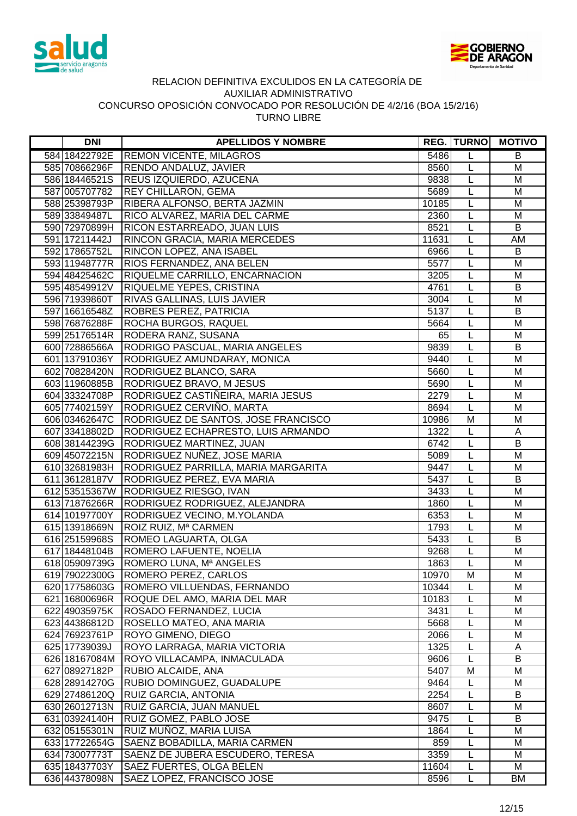



| <b>DNI</b>                     | <b>APELLIDOS Y NOMBRE</b>                                     |               | <b>REG. TURNO</b> | <b>MOTIVO</b>           |
|--------------------------------|---------------------------------------------------------------|---------------|-------------------|-------------------------|
| 584 18422792E                  | <b>REMON VICENTE, MILAGROS</b>                                | 5486          | L                 | B                       |
| 585 70866296F                  | <b>RENDO ANDALUZ, JAVIER</b>                                  | 8560          | L                 | M                       |
| 586 18446521S                  | <b>REUS IZQUIERDO, AZUCENA</b>                                | 9838          | $\mathsf{L}$      | M                       |
| 587 005707782                  | <b>REY CHILLARON, GEMA</b>                                    | 5689          | L                 | M                       |
| 588 25398793P                  | RIBERA ALFONSO, BERTA JAZMIN                                  | 10185         | L                 | M                       |
| 589 33849487L                  | RICO ALVAREZ, MARIA DEL CARME                                 | 2360          | L                 | M                       |
| 590 72970899H                  | <b>RICON ESTARREADO, JUAN LUIS</b>                            | 8521          | L                 | B                       |
| 591 17211442J                  | RINCON GRACIA, MARIA MERCEDES                                 | 11631         | L                 | AM                      |
| 592 17865752L                  | <b>RINCON LOPEZ, ANA ISABEL</b>                               | 6966          | L                 | B                       |
| 593 11948777R                  | <b>RIOS FERNANDEZ, ANA BELEN</b>                              | 5577          | $\overline{L}$    | $\overline{\mathsf{M}}$ |
| 594 48425462C                  | RIQUELME CARRILLO, ENCARNACION                                | 3205          | L                 | M                       |
| 595 48549912V                  | <b>RIQUELME YEPES, CRISTINA</b>                               | 4761          | L                 | B                       |
| 596 71939860T                  | RIVAS GALLINAS, LUIS JAVIER                                   | 3004          | L                 | M                       |
| 597 16616548Z                  | <b>ROBRES PEREZ, PATRICIA</b>                                 | 5137          | L                 | B                       |
| 598 76876288F                  | ROCHA BURGOS, RAQUEL                                          | 5664          | L                 | M                       |
| 599 25176514R                  | <b>RODERA RANZ, SUSANA</b>                                    | 65            | L                 | M                       |
| 600 72886566A                  | <b>RODRIGO PASCUAL, MARIA ANGELES</b>                         | 9839          | L                 | B                       |
| 601 13791036Y                  | RODRIGUEZ AMUNDARAY, MONICA                                   | 9440          | L                 | M                       |
| 602 708 284 20N                | RODRIGUEZ BLANCO, SARA                                        | 5660          | L                 | M                       |
| 603 11960885B                  | RODRIGUEZ BRAVO, M JESUS                                      | 5690          | L                 | M                       |
| 604 33324708P                  | RODRIGUEZ CASTIÑEIRA, MARIA JESUS                             | 2279          | L                 | M                       |
| 605 77402159Y                  | RODRIGUEZ CERVIÑO, MARTA                                      | 8694          | L                 | M                       |
| 606 03462647C                  | RODRIGUEZ DE SANTOS, JOSE FRANCISCO                           | 10986         | M                 | M                       |
| 607 33418802D                  | RODRIGUEZ ECHAPRESTO, LUIS ARMANDO                            | 1322          | L                 | A                       |
|                                | 608 38144239G RODRIGUEZ MARTINEZ, JUAN                        | 6742          | L                 | B                       |
|                                | 609 45072215N RODRIGUEZ NUÑEZ, JOSE MARIA                     | 5089          | $\overline{L}$    | $\overline{\mathsf{M}}$ |
|                                | 610 32681983H RODRIGUEZ PARRILLA, MARIA MARGARITA             | 9447          | L                 | M                       |
| 611 36128187V                  | RODRIGUEZ PEREZ, EVA MARIA                                    | 5437          | L                 | $\overline{B}$          |
| 612 53515367W                  | RODRIGUEZ RIESGO, IVAN                                        | 3433          | L                 | $\overline{\mathsf{M}}$ |
| 613 71876266R                  | RODRIGUEZ RODRIGUEZ, ALEJANDRA                                | 1860          | $\mathsf{L}$      | M                       |
| 614 10197700Y                  | RODRIGUEZ VECINO, M.YOLANDA                                   | 6353          | L                 | M                       |
| 615 13918669N                  | ROIZ RUIZ, Mª CARMEN                                          | 1793          | L                 | M                       |
| 616 25159968S                  | <b>ROMEO LAGUARTA, OLGA</b>                                   | 5433          | L                 | B                       |
| 617 18448104B                  | <b>ROMERO LAFUENTE, NOELIA</b>                                | 9268          | L                 | M                       |
|                                | 618 05909739G   ROMERO LUNA, Mª ANGELES                       | 1863          | L                 | M                       |
| 619 79022300G                  | ROMERO PEREZ, CARLOS                                          | 10970         | M                 | M                       |
| 620 17758603G                  | ROMERO VILLUENDAS, FERNANDO                                   | 10344         |                   | M                       |
| 621 16800696R                  | ROQUE DEL AMO, MARIA DEL MAR                                  | 10183         |                   | M                       |
| 622 49035975K                  | ROSADO FERNANDEZ, LUCIA                                       | 3431          | L                 | M                       |
| 623 44386812D                  | ROSELLO MATEO, ANA MARIA                                      | 5668          | L                 | M                       |
| 624 76923761P                  | ROYO GIMENO, DIEGO                                            | 2066          | L                 | M                       |
| 625 17739039J                  | ROYO LARRAGA, MARIA VICTORIA                                  | 1325          | L                 | A                       |
| 626 18167084M                  | ROYO VILLACAMPA, INMACULADA                                   | 9606          | L                 | B                       |
| 627 08927182P                  | <b>RUBIO ALCAIDE, ANA</b>                                     | 5407          | M                 | M                       |
| 628 28914270G                  | RUBIO DOMINGUEZ, GUADALUPE                                    | 9464          | L                 | M                       |
| 629 27486120Q                  | <b>RUIZ GARCIA, ANTONIA</b>                                   | 2254          | L                 | B                       |
| 630 26012713N                  | <b>RUIZ GARCIA, JUAN MANUEL</b>                               | 8607          | L                 | M                       |
| 631 03924140H                  | RUIZ GOMEZ, PABLO JOSE                                        | 9475          | L                 | B                       |
| 632 05155301N                  | RUIZ MUÑOZ, MARIA LUISA                                       | 1864          | L                 | M                       |
| 633 17722654G                  | SAENZ BOBADILLA, MARIA CARMEN                                 | 859           | L                 | M                       |
| 634 73007773T                  | SAENZ DE JUBERA ESCUDERO, TERESA                              | 3359          | L<br>L            | M<br>M                  |
| 635 18437703Y<br>636 44378098N | <b>SAEZ FUERTES, OLGA BELEN</b><br>SAEZ LOPEZ, FRANCISCO JOSE | 11604<br>8596 | L                 | BM                      |
|                                |                                                               |               |                   |                         |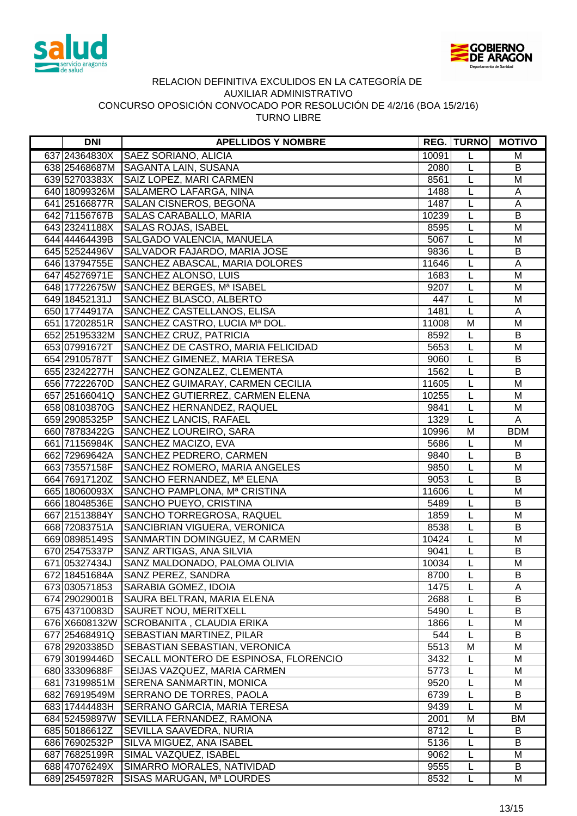



| <b>DNI</b>      | <b>APELLIDOS Y NOMBRE</b>               |       | <b>REG. TURNO</b> | <b>MOTIVO</b>           |
|-----------------|-----------------------------------------|-------|-------------------|-------------------------|
| 637 24364830X   | <b>SAEZ SORIANO, ALICIA</b>             | 10091 | L                 | M                       |
|                 | 638 25468687M SAGANTA LAIN, SUSANA      | 2080  | L                 | B                       |
| 639 52703383X   | SAIZ LOPEZ, MARI CARMEN                 | 8561  | L                 | M                       |
|                 | 640 18099326M SALAMERO LAFARGA, NINA    | 1488  | L                 | A                       |
| 641 25166877R   | SALAN CISNEROS, BEGOÑA                  | 1487  | L                 | $\mathsf A$             |
| 642 71156767B   | SALAS CARABALLO, MARIA                  | 10239 | L                 | B                       |
| 643 23241188X   | <b>SALAS ROJAS, ISABEL</b>              | 8595  | L                 | M                       |
| 644 44464439B   | SALGADO VALENCIA, MANUELA               | 5067  | L                 | M                       |
| 645 52524496V   | SALVADOR FAJARDO, MARIA JOSE            | 9836  | L                 | $\overline{B}$          |
| 646 13794755E   | SANCHEZ ABASCAL, MARIA DOLORES          | 11646 | L                 | $\mathsf A$             |
| 647 45276971E   | SANCHEZ ALONSO, LUIS                    | 1683  | L                 | M                       |
| 648 17722675W   | SANCHEZ BERGES, Mª ISABEL               | 9207  | L                 | M                       |
| 649 18452131J   | SANCHEZ BLASCO, ALBERTO                 | 447   | L                 | M                       |
| 650 17744917A   | SANCHEZ CASTELLANOS, ELISA              | 1481  | L                 | A                       |
| 651 1720 2851 R | SANCHEZ CASTRO, LUCIA Mª DOL.           | 11008 | M                 | M                       |
|                 | 652 25195332M SANCHEZ CRUZ, PATRICIA    | 8592  | L                 | B                       |
| 653 07991672T   | SANCHEZ DE CASTRO, MARIA FELICIDAD      | 5653  | L                 | M                       |
| 654 29105787T   | SANCHEZ GIMENEZ, MARIA TERESA           | 9060  | L                 | B                       |
| 655 23242277H   | SANCHEZ GONZALEZ, CLEMENTA              | 1562  | L                 | B                       |
| 656 77222670D   | SANCHEZ GUIMARAY, CARMEN CECILIA        | 11605 | L                 | M                       |
| 657 25166041Q   | SANCHEZ GUTIERREZ, CARMEN ELENA         | 10255 | L                 | M                       |
| 658 08103870G   | SANCHEZ HERNANDEZ, RAQUEL               | 9841  | L                 | M                       |
| 659 29085325P   | SANCHEZ LANCIS, RAFAEL                  | 1329  | L                 | A                       |
| 660 78783422G   | SANCHEZ LOUREIRO, SARA                  | 10996 | M                 | <b>BDM</b>              |
| 661 71156984K   | SANCHEZ MACIZO, EVA                     | 5686  | $\overline{L}$    | M                       |
| 662 72969642A   | SANCHEZ PEDRERO, CARMEN                 | 9840  | L                 | $\overline{B}$          |
| 663 73557158F   | SANCHEZ ROMERO, MARIA ANGELES           | 9850  | L                 | $\overline{\mathsf{M}}$ |
| 664 76917120Z   | SANCHO FERNANDEZ, Mª ELENA              | 9053  | L                 | B                       |
| 665 18060093X   | SANCHO PAMPLONA, Mª CRISTINA            | 11606 | L                 | $\overline{\mathsf{M}}$ |
| 666 18048536E   | SANCHO PUEYO, CRISTINA                  | 5489  | L                 | $\overline{B}$          |
| 667 21513884Y   | SANCHO TORREGROSA, RAQUEL               | 1859  | L                 | M                       |
| 668 72083751A   | SANCIBRIAN VIGUERA, VERONICA            | 8538  | L                 | B                       |
| 669 08985149S   | SANMARTIN DOMINGUEZ, M CARMEN           | 10424 | L                 | M                       |
| 670 25475337P   | SANZ ARTIGAS, ANA SILVIA                | 9041  | L                 | B                       |
| 671 05327434J   | SANZ MALDONADO, PALOMA OLIVIA           | 10034 | L                 | M                       |
| 672 18451684A   | <b>SANZ PEREZ, SANDRA</b>               | 8700  | L                 | B                       |
| 673 030571853   | SARABIA GOMEZ, IDOIA                    | 1475  | L                 | Α                       |
| 674 29029001B   | SAURA BELTRAN, MARIA ELENA              | 2688  | L                 | B                       |
| 675 43710083D   | SAURET NOU, MERITXELL                   | 5490  | L                 | B                       |
| 676 X6608132W   | SCROBANITA, CLAUDIA ERIKA               | 1866  | L                 | M                       |
| 677 25468491Q   | <b>SEBASTIAN MARTINEZ, PILAR</b>        | 544   | L                 | B                       |
| 678 29203385D   | <b>SEBASTIAN SEBASTIAN, VERONICA</b>    | 5513  | M                 | M                       |
| 679 30199446D   | SECALL MONTERO DE ESPINOSA, FLORENCIO   | 3432  | L                 | M                       |
| 680 33309688F   | SEIJAS VAZQUEZ, MARIA CARMEN            | 5773  | L                 | M                       |
| 681 73199851M   | <b>SERENA SANMARTIN, MONICA</b>         | 9520  | L                 | M                       |
| 682 76919549M   | <b>SERRANO DE TORRES, PAOLA</b>         | 6739  | L                 | B                       |
| 683 17444483H   | <b>SERRANO GARCIA, MARIA TERESA</b>     | 9439  | L                 | M                       |
|                 | 684 52459897W SEVILLA FERNANDEZ, RAMONA | 2001  | M                 | BM                      |
| 685 50186612Z   | SEVILLA SAAVEDRA, NURIA                 | 8712  | L                 | B                       |
| 686 76902532P   | SILVA MIGUEZ, ANA ISABEL                | 5136  | L                 | B                       |
| 687 76825199R   | SIMAL VAZQUEZ, ISABEL                   | 9062  | L                 | M                       |
| 688 47076249X   | SIMARRO MORALES, NATIVIDAD              | 9555  | L                 | B                       |
| 689 25459782R   | SISAS MARUGAN, Mª LOURDES               | 8532  | L                 | М                       |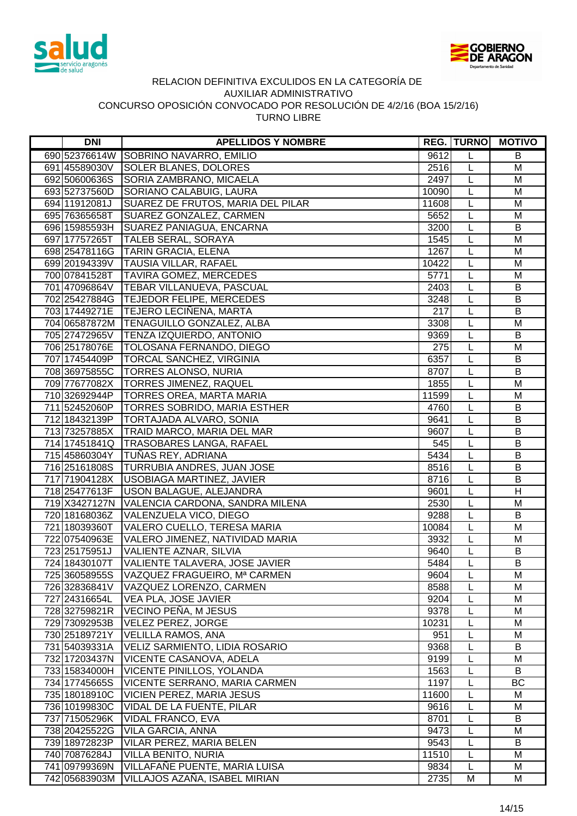



| 9612<br>690 52376614W SOBRINO NAVARRO, EMILIO<br>B<br>L<br><b>SOLER BLANES, DOLORES</b><br>M<br>691 45589030V<br>2516<br>L<br>SORIA ZAMBRANO, MICAELA<br>2497<br>L<br>692 50600636S<br>M<br><b>SORIANO CALABUIG, LAURA</b><br>693 52737560D<br>10090<br>L<br>M<br>L<br>SUAREZ DE FRUTOS, MARIA DEL PILAR<br>M<br>694 11912081J<br>11608<br>SUAREZ GONZALEZ, CARMEN<br>695 76365658T<br>5652<br>L<br>M<br>SUAREZ PANIAGUA, ENCARNA<br>L<br>B<br>3200<br>696 15985593H<br><b>TALEB SERAL, SORAYA</b><br>697 17757265T<br>1545<br>M<br>L<br>$\overline{L}$<br><b>TARIN GRACIA, ELENA</b><br>1267<br>M<br>698 25478116G<br>M<br>699 20194339V TAUSIA VILLAR, RAFAEL<br>10422<br>L<br>700 07841528T<br><b>TAVIRA GOMEZ, MERCEDES</b><br>5771<br>L<br>M<br>701 47096864V<br>L<br>B<br><b>TEBAR VILLANUEVA, PASCUAL</b><br>2403<br>$\overline{B}$<br>702 25427884G   TEJEDOR FELIPE, MERCEDES<br>3248<br>L<br>B<br>703 17449271E   TEJERO LECIÑENA, MARTA<br>217<br>L<br>704 06587872M   TENAGUILLO GONZALEZ, ALBA<br>3308<br>M<br>L<br>705 27472965V   TENZA IZQUIERDO, ANTONIO<br>9369<br>B<br>L<br>706 25178076E   TOLOSANA FERNANDO, DIEGO<br>L<br>M<br>275<br>707 17454409P   TORCAL SANCHEZ, VIRGINIA<br>6357<br>L<br>B<br>708 36975855C   TORRES ALONSO, NURIA<br>B<br>8707<br>L<br>709 77677082X TORRES JIMENEZ, RAQUEL<br>1855<br>L<br>M<br><b>TORRES OREA, MARTA MARIA</b><br>L<br>710 32692944P<br>11599<br>M<br>711 52452060P<br><b>TORRES SOBRIDO, MARIA ESTHER</b><br>L<br>B<br>4760<br><b>TORTAJADA ALVARO, SONIA</b><br>B<br>712 18432139P<br>9641<br>L<br>713 73257885X   TRAID MARCO, MARIA DEL MAR<br>9607<br>B<br>L<br>$\overline{B}$<br>714 17451841Q TRASOBARES LANGA, RAFAEL<br>L<br>545<br>715 45860304Y TUÑAS REY, ADRIANA<br>5434<br>$\overline{B}$<br>L<br><b>TURRUBIA ANDRES, JUAN JOSE</b><br>$\overline{B}$<br>716 25161808S<br>8516<br>L<br>$\overline{B}$<br>717 71904128X<br>USOBIAGA MARTINEZ, JAVIER<br>8716<br>L<br>$\overline{H}$<br>718 25477613F<br>USON BALAGUE, ALEJANDRA<br>9601<br>L<br>2530<br>719 X3427127N<br>VALENCIA CARDONA, SANDRA MILENA<br>M<br>L<br>VALENZUELA VICO, DIEGO<br>$\overline{B}$<br>720 18168036Z<br>9288<br>L<br>721 18039360T<br>VALERO CUELLO, TERESA MARIA<br>10084<br>M<br>L<br>722 07540963E<br>VALERO JIMENEZ, NATIVIDAD MARIA<br>3932<br>L<br>M<br>VALIENTE AZNAR, SILVIA<br>L<br>B<br>723 25175951J<br>9640<br>$\mathsf{L}$<br>724 18430107T<br>VALIENTE TALAVERA, JOSE JAVIER<br>5484<br>B<br>VAZQUEZ FRAGUEIRO, Mª CARMEN<br>725 36058955S<br>9604<br>L<br>M<br>8588<br>726 32836841V<br>VAZQUEZ LORENZO, CARMEN<br>L<br>M<br>VEA PLA, JOSE JAVIER<br>M<br>727 24316654L<br>9204<br>L<br>VECINO PEÑA, M JESUS<br>9378<br>728 32759821R<br>M<br>L<br><b>VELEZ PEREZ, JORGE</b><br>10231<br>729 73092953B<br>L<br>M<br>951<br>730 25189721Y<br><b>VELILLA RAMOS, ANA</b><br>M<br>L<br>B<br>VELIZ SARMIENTO, LIDIA ROSARIO<br>9368<br>731 54039331A<br>L<br>732 17203437N<br>VICENTE CASANOVA, ADELA<br>9199<br>M<br>L<br>733 15834000H<br>1563<br>VICENTE PINILLOS, YOLANDA<br>B<br>L<br>1197<br>BC<br>734 17745665S<br>VICENTE SERRANO, MARIA CARMEN<br>L<br>735 18018910C<br>VICIEN PEREZ, MARIA JESUS<br>11600<br>M<br>L<br>736 10199830C<br>9616<br>VIDAL DE LA FUENTE, PILAR<br>M<br>L<br>8701<br>737 71505296K<br>VIDAL FRANCO, EVA<br>B<br>L<br>738 20425522G<br>VILA GARCIA, ANNA<br>9473<br>L<br>M<br>739 18972823P<br>VILAR PEREZ, MARIA BELEN<br>9543<br>L<br>B<br>740 70876284J<br>VILLA BENITO, NURIA<br>11510<br>L<br>M<br>VILLAFAÑE PUENTE, MARIA LUISA<br>741 09799369N<br>9834<br>L<br>M<br>742 05683903M | <b>DNI</b> | <b>APELLIDOS Y NOMBRE</b>     |      | <b>REG. TURNOL</b> | <b>MOTIVO</b> |
|-----------------------------------------------------------------------------------------------------------------------------------------------------------------------------------------------------------------------------------------------------------------------------------------------------------------------------------------------------------------------------------------------------------------------------------------------------------------------------------------------------------------------------------------------------------------------------------------------------------------------------------------------------------------------------------------------------------------------------------------------------------------------------------------------------------------------------------------------------------------------------------------------------------------------------------------------------------------------------------------------------------------------------------------------------------------------------------------------------------------------------------------------------------------------------------------------------------------------------------------------------------------------------------------------------------------------------------------------------------------------------------------------------------------------------------------------------------------------------------------------------------------------------------------------------------------------------------------------------------------------------------------------------------------------------------------------------------------------------------------------------------------------------------------------------------------------------------------------------------------------------------------------------------------------------------------------------------------------------------------------------------------------------------------------------------------------------------------------------------------------------------------------------------------------------------------------------------------------------------------------------------------------------------------------------------------------------------------------------------------------------------------------------------------------------------------------------------------------------------------------------------------------------------------------------------------------------------------------------------------------------------------------------------------------------------------------------------------------------------------------------------------------------------------------------------------------------------------------------------------------------------------------------------------------------------------------------------------------------------------------------------------------------------------------------------------------------------------------------------------------------------------------------------------------------------------------------------------------------------------------------------------------------------------------------------------------------------------------------------------------------------------------------------------------------------------------------------------------------------------------------------------------------------------------------------------------------------------------|------------|-------------------------------|------|--------------------|---------------|
|                                                                                                                                                                                                                                                                                                                                                                                                                                                                                                                                                                                                                                                                                                                                                                                                                                                                                                                                                                                                                                                                                                                                                                                                                                                                                                                                                                                                                                                                                                                                                                                                                                                                                                                                                                                                                                                                                                                                                                                                                                                                                                                                                                                                                                                                                                                                                                                                                                                                                                                                                                                                                                                                                                                                                                                                                                                                                                                                                                                                                                                                                                                                                                                                                                                                                                                                                                                                                                                                                                                                                                                               |            |                               |      |                    |               |
|                                                                                                                                                                                                                                                                                                                                                                                                                                                                                                                                                                                                                                                                                                                                                                                                                                                                                                                                                                                                                                                                                                                                                                                                                                                                                                                                                                                                                                                                                                                                                                                                                                                                                                                                                                                                                                                                                                                                                                                                                                                                                                                                                                                                                                                                                                                                                                                                                                                                                                                                                                                                                                                                                                                                                                                                                                                                                                                                                                                                                                                                                                                                                                                                                                                                                                                                                                                                                                                                                                                                                                                               |            |                               |      |                    |               |
|                                                                                                                                                                                                                                                                                                                                                                                                                                                                                                                                                                                                                                                                                                                                                                                                                                                                                                                                                                                                                                                                                                                                                                                                                                                                                                                                                                                                                                                                                                                                                                                                                                                                                                                                                                                                                                                                                                                                                                                                                                                                                                                                                                                                                                                                                                                                                                                                                                                                                                                                                                                                                                                                                                                                                                                                                                                                                                                                                                                                                                                                                                                                                                                                                                                                                                                                                                                                                                                                                                                                                                                               |            |                               |      |                    |               |
|                                                                                                                                                                                                                                                                                                                                                                                                                                                                                                                                                                                                                                                                                                                                                                                                                                                                                                                                                                                                                                                                                                                                                                                                                                                                                                                                                                                                                                                                                                                                                                                                                                                                                                                                                                                                                                                                                                                                                                                                                                                                                                                                                                                                                                                                                                                                                                                                                                                                                                                                                                                                                                                                                                                                                                                                                                                                                                                                                                                                                                                                                                                                                                                                                                                                                                                                                                                                                                                                                                                                                                                               |            |                               |      |                    |               |
|                                                                                                                                                                                                                                                                                                                                                                                                                                                                                                                                                                                                                                                                                                                                                                                                                                                                                                                                                                                                                                                                                                                                                                                                                                                                                                                                                                                                                                                                                                                                                                                                                                                                                                                                                                                                                                                                                                                                                                                                                                                                                                                                                                                                                                                                                                                                                                                                                                                                                                                                                                                                                                                                                                                                                                                                                                                                                                                                                                                                                                                                                                                                                                                                                                                                                                                                                                                                                                                                                                                                                                                               |            |                               |      |                    |               |
|                                                                                                                                                                                                                                                                                                                                                                                                                                                                                                                                                                                                                                                                                                                                                                                                                                                                                                                                                                                                                                                                                                                                                                                                                                                                                                                                                                                                                                                                                                                                                                                                                                                                                                                                                                                                                                                                                                                                                                                                                                                                                                                                                                                                                                                                                                                                                                                                                                                                                                                                                                                                                                                                                                                                                                                                                                                                                                                                                                                                                                                                                                                                                                                                                                                                                                                                                                                                                                                                                                                                                                                               |            |                               |      |                    |               |
|                                                                                                                                                                                                                                                                                                                                                                                                                                                                                                                                                                                                                                                                                                                                                                                                                                                                                                                                                                                                                                                                                                                                                                                                                                                                                                                                                                                                                                                                                                                                                                                                                                                                                                                                                                                                                                                                                                                                                                                                                                                                                                                                                                                                                                                                                                                                                                                                                                                                                                                                                                                                                                                                                                                                                                                                                                                                                                                                                                                                                                                                                                                                                                                                                                                                                                                                                                                                                                                                                                                                                                                               |            |                               |      |                    |               |
|                                                                                                                                                                                                                                                                                                                                                                                                                                                                                                                                                                                                                                                                                                                                                                                                                                                                                                                                                                                                                                                                                                                                                                                                                                                                                                                                                                                                                                                                                                                                                                                                                                                                                                                                                                                                                                                                                                                                                                                                                                                                                                                                                                                                                                                                                                                                                                                                                                                                                                                                                                                                                                                                                                                                                                                                                                                                                                                                                                                                                                                                                                                                                                                                                                                                                                                                                                                                                                                                                                                                                                                               |            |                               |      |                    |               |
|                                                                                                                                                                                                                                                                                                                                                                                                                                                                                                                                                                                                                                                                                                                                                                                                                                                                                                                                                                                                                                                                                                                                                                                                                                                                                                                                                                                                                                                                                                                                                                                                                                                                                                                                                                                                                                                                                                                                                                                                                                                                                                                                                                                                                                                                                                                                                                                                                                                                                                                                                                                                                                                                                                                                                                                                                                                                                                                                                                                                                                                                                                                                                                                                                                                                                                                                                                                                                                                                                                                                                                                               |            |                               |      |                    |               |
|                                                                                                                                                                                                                                                                                                                                                                                                                                                                                                                                                                                                                                                                                                                                                                                                                                                                                                                                                                                                                                                                                                                                                                                                                                                                                                                                                                                                                                                                                                                                                                                                                                                                                                                                                                                                                                                                                                                                                                                                                                                                                                                                                                                                                                                                                                                                                                                                                                                                                                                                                                                                                                                                                                                                                                                                                                                                                                                                                                                                                                                                                                                                                                                                                                                                                                                                                                                                                                                                                                                                                                                               |            |                               |      |                    |               |
|                                                                                                                                                                                                                                                                                                                                                                                                                                                                                                                                                                                                                                                                                                                                                                                                                                                                                                                                                                                                                                                                                                                                                                                                                                                                                                                                                                                                                                                                                                                                                                                                                                                                                                                                                                                                                                                                                                                                                                                                                                                                                                                                                                                                                                                                                                                                                                                                                                                                                                                                                                                                                                                                                                                                                                                                                                                                                                                                                                                                                                                                                                                                                                                                                                                                                                                                                                                                                                                                                                                                                                                               |            |                               |      |                    |               |
|                                                                                                                                                                                                                                                                                                                                                                                                                                                                                                                                                                                                                                                                                                                                                                                                                                                                                                                                                                                                                                                                                                                                                                                                                                                                                                                                                                                                                                                                                                                                                                                                                                                                                                                                                                                                                                                                                                                                                                                                                                                                                                                                                                                                                                                                                                                                                                                                                                                                                                                                                                                                                                                                                                                                                                                                                                                                                                                                                                                                                                                                                                                                                                                                                                                                                                                                                                                                                                                                                                                                                                                               |            |                               |      |                    |               |
|                                                                                                                                                                                                                                                                                                                                                                                                                                                                                                                                                                                                                                                                                                                                                                                                                                                                                                                                                                                                                                                                                                                                                                                                                                                                                                                                                                                                                                                                                                                                                                                                                                                                                                                                                                                                                                                                                                                                                                                                                                                                                                                                                                                                                                                                                                                                                                                                                                                                                                                                                                                                                                                                                                                                                                                                                                                                                                                                                                                                                                                                                                                                                                                                                                                                                                                                                                                                                                                                                                                                                                                               |            |                               |      |                    |               |
|                                                                                                                                                                                                                                                                                                                                                                                                                                                                                                                                                                                                                                                                                                                                                                                                                                                                                                                                                                                                                                                                                                                                                                                                                                                                                                                                                                                                                                                                                                                                                                                                                                                                                                                                                                                                                                                                                                                                                                                                                                                                                                                                                                                                                                                                                                                                                                                                                                                                                                                                                                                                                                                                                                                                                                                                                                                                                                                                                                                                                                                                                                                                                                                                                                                                                                                                                                                                                                                                                                                                                                                               |            |                               |      |                    |               |
|                                                                                                                                                                                                                                                                                                                                                                                                                                                                                                                                                                                                                                                                                                                                                                                                                                                                                                                                                                                                                                                                                                                                                                                                                                                                                                                                                                                                                                                                                                                                                                                                                                                                                                                                                                                                                                                                                                                                                                                                                                                                                                                                                                                                                                                                                                                                                                                                                                                                                                                                                                                                                                                                                                                                                                                                                                                                                                                                                                                                                                                                                                                                                                                                                                                                                                                                                                                                                                                                                                                                                                                               |            |                               |      |                    |               |
|                                                                                                                                                                                                                                                                                                                                                                                                                                                                                                                                                                                                                                                                                                                                                                                                                                                                                                                                                                                                                                                                                                                                                                                                                                                                                                                                                                                                                                                                                                                                                                                                                                                                                                                                                                                                                                                                                                                                                                                                                                                                                                                                                                                                                                                                                                                                                                                                                                                                                                                                                                                                                                                                                                                                                                                                                                                                                                                                                                                                                                                                                                                                                                                                                                                                                                                                                                                                                                                                                                                                                                                               |            |                               |      |                    |               |
|                                                                                                                                                                                                                                                                                                                                                                                                                                                                                                                                                                                                                                                                                                                                                                                                                                                                                                                                                                                                                                                                                                                                                                                                                                                                                                                                                                                                                                                                                                                                                                                                                                                                                                                                                                                                                                                                                                                                                                                                                                                                                                                                                                                                                                                                                                                                                                                                                                                                                                                                                                                                                                                                                                                                                                                                                                                                                                                                                                                                                                                                                                                                                                                                                                                                                                                                                                                                                                                                                                                                                                                               |            |                               |      |                    |               |
|                                                                                                                                                                                                                                                                                                                                                                                                                                                                                                                                                                                                                                                                                                                                                                                                                                                                                                                                                                                                                                                                                                                                                                                                                                                                                                                                                                                                                                                                                                                                                                                                                                                                                                                                                                                                                                                                                                                                                                                                                                                                                                                                                                                                                                                                                                                                                                                                                                                                                                                                                                                                                                                                                                                                                                                                                                                                                                                                                                                                                                                                                                                                                                                                                                                                                                                                                                                                                                                                                                                                                                                               |            |                               |      |                    |               |
|                                                                                                                                                                                                                                                                                                                                                                                                                                                                                                                                                                                                                                                                                                                                                                                                                                                                                                                                                                                                                                                                                                                                                                                                                                                                                                                                                                                                                                                                                                                                                                                                                                                                                                                                                                                                                                                                                                                                                                                                                                                                                                                                                                                                                                                                                                                                                                                                                                                                                                                                                                                                                                                                                                                                                                                                                                                                                                                                                                                                                                                                                                                                                                                                                                                                                                                                                                                                                                                                                                                                                                                               |            |                               |      |                    |               |
|                                                                                                                                                                                                                                                                                                                                                                                                                                                                                                                                                                                                                                                                                                                                                                                                                                                                                                                                                                                                                                                                                                                                                                                                                                                                                                                                                                                                                                                                                                                                                                                                                                                                                                                                                                                                                                                                                                                                                                                                                                                                                                                                                                                                                                                                                                                                                                                                                                                                                                                                                                                                                                                                                                                                                                                                                                                                                                                                                                                                                                                                                                                                                                                                                                                                                                                                                                                                                                                                                                                                                                                               |            |                               |      |                    |               |
|                                                                                                                                                                                                                                                                                                                                                                                                                                                                                                                                                                                                                                                                                                                                                                                                                                                                                                                                                                                                                                                                                                                                                                                                                                                                                                                                                                                                                                                                                                                                                                                                                                                                                                                                                                                                                                                                                                                                                                                                                                                                                                                                                                                                                                                                                                                                                                                                                                                                                                                                                                                                                                                                                                                                                                                                                                                                                                                                                                                                                                                                                                                                                                                                                                                                                                                                                                                                                                                                                                                                                                                               |            |                               |      |                    |               |
|                                                                                                                                                                                                                                                                                                                                                                                                                                                                                                                                                                                                                                                                                                                                                                                                                                                                                                                                                                                                                                                                                                                                                                                                                                                                                                                                                                                                                                                                                                                                                                                                                                                                                                                                                                                                                                                                                                                                                                                                                                                                                                                                                                                                                                                                                                                                                                                                                                                                                                                                                                                                                                                                                                                                                                                                                                                                                                                                                                                                                                                                                                                                                                                                                                                                                                                                                                                                                                                                                                                                                                                               |            |                               |      |                    |               |
|                                                                                                                                                                                                                                                                                                                                                                                                                                                                                                                                                                                                                                                                                                                                                                                                                                                                                                                                                                                                                                                                                                                                                                                                                                                                                                                                                                                                                                                                                                                                                                                                                                                                                                                                                                                                                                                                                                                                                                                                                                                                                                                                                                                                                                                                                                                                                                                                                                                                                                                                                                                                                                                                                                                                                                                                                                                                                                                                                                                                                                                                                                                                                                                                                                                                                                                                                                                                                                                                                                                                                                                               |            |                               |      |                    |               |
|                                                                                                                                                                                                                                                                                                                                                                                                                                                                                                                                                                                                                                                                                                                                                                                                                                                                                                                                                                                                                                                                                                                                                                                                                                                                                                                                                                                                                                                                                                                                                                                                                                                                                                                                                                                                                                                                                                                                                                                                                                                                                                                                                                                                                                                                                                                                                                                                                                                                                                                                                                                                                                                                                                                                                                                                                                                                                                                                                                                                                                                                                                                                                                                                                                                                                                                                                                                                                                                                                                                                                                                               |            |                               |      |                    |               |
|                                                                                                                                                                                                                                                                                                                                                                                                                                                                                                                                                                                                                                                                                                                                                                                                                                                                                                                                                                                                                                                                                                                                                                                                                                                                                                                                                                                                                                                                                                                                                                                                                                                                                                                                                                                                                                                                                                                                                                                                                                                                                                                                                                                                                                                                                                                                                                                                                                                                                                                                                                                                                                                                                                                                                                                                                                                                                                                                                                                                                                                                                                                                                                                                                                                                                                                                                                                                                                                                                                                                                                                               |            |                               |      |                    |               |
|                                                                                                                                                                                                                                                                                                                                                                                                                                                                                                                                                                                                                                                                                                                                                                                                                                                                                                                                                                                                                                                                                                                                                                                                                                                                                                                                                                                                                                                                                                                                                                                                                                                                                                                                                                                                                                                                                                                                                                                                                                                                                                                                                                                                                                                                                                                                                                                                                                                                                                                                                                                                                                                                                                                                                                                                                                                                                                                                                                                                                                                                                                                                                                                                                                                                                                                                                                                                                                                                                                                                                                                               |            |                               |      |                    |               |
|                                                                                                                                                                                                                                                                                                                                                                                                                                                                                                                                                                                                                                                                                                                                                                                                                                                                                                                                                                                                                                                                                                                                                                                                                                                                                                                                                                                                                                                                                                                                                                                                                                                                                                                                                                                                                                                                                                                                                                                                                                                                                                                                                                                                                                                                                                                                                                                                                                                                                                                                                                                                                                                                                                                                                                                                                                                                                                                                                                                                                                                                                                                                                                                                                                                                                                                                                                                                                                                                                                                                                                                               |            |                               |      |                    |               |
|                                                                                                                                                                                                                                                                                                                                                                                                                                                                                                                                                                                                                                                                                                                                                                                                                                                                                                                                                                                                                                                                                                                                                                                                                                                                                                                                                                                                                                                                                                                                                                                                                                                                                                                                                                                                                                                                                                                                                                                                                                                                                                                                                                                                                                                                                                                                                                                                                                                                                                                                                                                                                                                                                                                                                                                                                                                                                                                                                                                                                                                                                                                                                                                                                                                                                                                                                                                                                                                                                                                                                                                               |            |                               |      |                    |               |
|                                                                                                                                                                                                                                                                                                                                                                                                                                                                                                                                                                                                                                                                                                                                                                                                                                                                                                                                                                                                                                                                                                                                                                                                                                                                                                                                                                                                                                                                                                                                                                                                                                                                                                                                                                                                                                                                                                                                                                                                                                                                                                                                                                                                                                                                                                                                                                                                                                                                                                                                                                                                                                                                                                                                                                                                                                                                                                                                                                                                                                                                                                                                                                                                                                                                                                                                                                                                                                                                                                                                                                                               |            |                               |      |                    |               |
|                                                                                                                                                                                                                                                                                                                                                                                                                                                                                                                                                                                                                                                                                                                                                                                                                                                                                                                                                                                                                                                                                                                                                                                                                                                                                                                                                                                                                                                                                                                                                                                                                                                                                                                                                                                                                                                                                                                                                                                                                                                                                                                                                                                                                                                                                                                                                                                                                                                                                                                                                                                                                                                                                                                                                                                                                                                                                                                                                                                                                                                                                                                                                                                                                                                                                                                                                                                                                                                                                                                                                                                               |            |                               |      |                    |               |
|                                                                                                                                                                                                                                                                                                                                                                                                                                                                                                                                                                                                                                                                                                                                                                                                                                                                                                                                                                                                                                                                                                                                                                                                                                                                                                                                                                                                                                                                                                                                                                                                                                                                                                                                                                                                                                                                                                                                                                                                                                                                                                                                                                                                                                                                                                                                                                                                                                                                                                                                                                                                                                                                                                                                                                                                                                                                                                                                                                                                                                                                                                                                                                                                                                                                                                                                                                                                                                                                                                                                                                                               |            |                               |      |                    |               |
|                                                                                                                                                                                                                                                                                                                                                                                                                                                                                                                                                                                                                                                                                                                                                                                                                                                                                                                                                                                                                                                                                                                                                                                                                                                                                                                                                                                                                                                                                                                                                                                                                                                                                                                                                                                                                                                                                                                                                                                                                                                                                                                                                                                                                                                                                                                                                                                                                                                                                                                                                                                                                                                                                                                                                                                                                                                                                                                                                                                                                                                                                                                                                                                                                                                                                                                                                                                                                                                                                                                                                                                               |            |                               |      |                    |               |
|                                                                                                                                                                                                                                                                                                                                                                                                                                                                                                                                                                                                                                                                                                                                                                                                                                                                                                                                                                                                                                                                                                                                                                                                                                                                                                                                                                                                                                                                                                                                                                                                                                                                                                                                                                                                                                                                                                                                                                                                                                                                                                                                                                                                                                                                                                                                                                                                                                                                                                                                                                                                                                                                                                                                                                                                                                                                                                                                                                                                                                                                                                                                                                                                                                                                                                                                                                                                                                                                                                                                                                                               |            |                               |      |                    |               |
|                                                                                                                                                                                                                                                                                                                                                                                                                                                                                                                                                                                                                                                                                                                                                                                                                                                                                                                                                                                                                                                                                                                                                                                                                                                                                                                                                                                                                                                                                                                                                                                                                                                                                                                                                                                                                                                                                                                                                                                                                                                                                                                                                                                                                                                                                                                                                                                                                                                                                                                                                                                                                                                                                                                                                                                                                                                                                                                                                                                                                                                                                                                                                                                                                                                                                                                                                                                                                                                                                                                                                                                               |            |                               |      |                    |               |
|                                                                                                                                                                                                                                                                                                                                                                                                                                                                                                                                                                                                                                                                                                                                                                                                                                                                                                                                                                                                                                                                                                                                                                                                                                                                                                                                                                                                                                                                                                                                                                                                                                                                                                                                                                                                                                                                                                                                                                                                                                                                                                                                                                                                                                                                                                                                                                                                                                                                                                                                                                                                                                                                                                                                                                                                                                                                                                                                                                                                                                                                                                                                                                                                                                                                                                                                                                                                                                                                                                                                                                                               |            |                               |      |                    |               |
|                                                                                                                                                                                                                                                                                                                                                                                                                                                                                                                                                                                                                                                                                                                                                                                                                                                                                                                                                                                                                                                                                                                                                                                                                                                                                                                                                                                                                                                                                                                                                                                                                                                                                                                                                                                                                                                                                                                                                                                                                                                                                                                                                                                                                                                                                                                                                                                                                                                                                                                                                                                                                                                                                                                                                                                                                                                                                                                                                                                                                                                                                                                                                                                                                                                                                                                                                                                                                                                                                                                                                                                               |            |                               |      |                    |               |
|                                                                                                                                                                                                                                                                                                                                                                                                                                                                                                                                                                                                                                                                                                                                                                                                                                                                                                                                                                                                                                                                                                                                                                                                                                                                                                                                                                                                                                                                                                                                                                                                                                                                                                                                                                                                                                                                                                                                                                                                                                                                                                                                                                                                                                                                                                                                                                                                                                                                                                                                                                                                                                                                                                                                                                                                                                                                                                                                                                                                                                                                                                                                                                                                                                                                                                                                                                                                                                                                                                                                                                                               |            |                               |      |                    |               |
|                                                                                                                                                                                                                                                                                                                                                                                                                                                                                                                                                                                                                                                                                                                                                                                                                                                                                                                                                                                                                                                                                                                                                                                                                                                                                                                                                                                                                                                                                                                                                                                                                                                                                                                                                                                                                                                                                                                                                                                                                                                                                                                                                                                                                                                                                                                                                                                                                                                                                                                                                                                                                                                                                                                                                                                                                                                                                                                                                                                                                                                                                                                                                                                                                                                                                                                                                                                                                                                                                                                                                                                               |            |                               |      |                    |               |
|                                                                                                                                                                                                                                                                                                                                                                                                                                                                                                                                                                                                                                                                                                                                                                                                                                                                                                                                                                                                                                                                                                                                                                                                                                                                                                                                                                                                                                                                                                                                                                                                                                                                                                                                                                                                                                                                                                                                                                                                                                                                                                                                                                                                                                                                                                                                                                                                                                                                                                                                                                                                                                                                                                                                                                                                                                                                                                                                                                                                                                                                                                                                                                                                                                                                                                                                                                                                                                                                                                                                                                                               |            |                               |      |                    |               |
|                                                                                                                                                                                                                                                                                                                                                                                                                                                                                                                                                                                                                                                                                                                                                                                                                                                                                                                                                                                                                                                                                                                                                                                                                                                                                                                                                                                                                                                                                                                                                                                                                                                                                                                                                                                                                                                                                                                                                                                                                                                                                                                                                                                                                                                                                                                                                                                                                                                                                                                                                                                                                                                                                                                                                                                                                                                                                                                                                                                                                                                                                                                                                                                                                                                                                                                                                                                                                                                                                                                                                                                               |            |                               |      |                    |               |
|                                                                                                                                                                                                                                                                                                                                                                                                                                                                                                                                                                                                                                                                                                                                                                                                                                                                                                                                                                                                                                                                                                                                                                                                                                                                                                                                                                                                                                                                                                                                                                                                                                                                                                                                                                                                                                                                                                                                                                                                                                                                                                                                                                                                                                                                                                                                                                                                                                                                                                                                                                                                                                                                                                                                                                                                                                                                                                                                                                                                                                                                                                                                                                                                                                                                                                                                                                                                                                                                                                                                                                                               |            |                               |      |                    |               |
|                                                                                                                                                                                                                                                                                                                                                                                                                                                                                                                                                                                                                                                                                                                                                                                                                                                                                                                                                                                                                                                                                                                                                                                                                                                                                                                                                                                                                                                                                                                                                                                                                                                                                                                                                                                                                                                                                                                                                                                                                                                                                                                                                                                                                                                                                                                                                                                                                                                                                                                                                                                                                                                                                                                                                                                                                                                                                                                                                                                                                                                                                                                                                                                                                                                                                                                                                                                                                                                                                                                                                                                               |            |                               |      |                    |               |
|                                                                                                                                                                                                                                                                                                                                                                                                                                                                                                                                                                                                                                                                                                                                                                                                                                                                                                                                                                                                                                                                                                                                                                                                                                                                                                                                                                                                                                                                                                                                                                                                                                                                                                                                                                                                                                                                                                                                                                                                                                                                                                                                                                                                                                                                                                                                                                                                                                                                                                                                                                                                                                                                                                                                                                                                                                                                                                                                                                                                                                                                                                                                                                                                                                                                                                                                                                                                                                                                                                                                                                                               |            |                               |      |                    |               |
|                                                                                                                                                                                                                                                                                                                                                                                                                                                                                                                                                                                                                                                                                                                                                                                                                                                                                                                                                                                                                                                                                                                                                                                                                                                                                                                                                                                                                                                                                                                                                                                                                                                                                                                                                                                                                                                                                                                                                                                                                                                                                                                                                                                                                                                                                                                                                                                                                                                                                                                                                                                                                                                                                                                                                                                                                                                                                                                                                                                                                                                                                                                                                                                                                                                                                                                                                                                                                                                                                                                                                                                               |            |                               |      |                    |               |
|                                                                                                                                                                                                                                                                                                                                                                                                                                                                                                                                                                                                                                                                                                                                                                                                                                                                                                                                                                                                                                                                                                                                                                                                                                                                                                                                                                                                                                                                                                                                                                                                                                                                                                                                                                                                                                                                                                                                                                                                                                                                                                                                                                                                                                                                                                                                                                                                                                                                                                                                                                                                                                                                                                                                                                                                                                                                                                                                                                                                                                                                                                                                                                                                                                                                                                                                                                                                                                                                                                                                                                                               |            |                               |      |                    |               |
|                                                                                                                                                                                                                                                                                                                                                                                                                                                                                                                                                                                                                                                                                                                                                                                                                                                                                                                                                                                                                                                                                                                                                                                                                                                                                                                                                                                                                                                                                                                                                                                                                                                                                                                                                                                                                                                                                                                                                                                                                                                                                                                                                                                                                                                                                                                                                                                                                                                                                                                                                                                                                                                                                                                                                                                                                                                                                                                                                                                                                                                                                                                                                                                                                                                                                                                                                                                                                                                                                                                                                                                               |            |                               |      |                    |               |
|                                                                                                                                                                                                                                                                                                                                                                                                                                                                                                                                                                                                                                                                                                                                                                                                                                                                                                                                                                                                                                                                                                                                                                                                                                                                                                                                                                                                                                                                                                                                                                                                                                                                                                                                                                                                                                                                                                                                                                                                                                                                                                                                                                                                                                                                                                                                                                                                                                                                                                                                                                                                                                                                                                                                                                                                                                                                                                                                                                                                                                                                                                                                                                                                                                                                                                                                                                                                                                                                                                                                                                                               |            |                               |      |                    |               |
|                                                                                                                                                                                                                                                                                                                                                                                                                                                                                                                                                                                                                                                                                                                                                                                                                                                                                                                                                                                                                                                                                                                                                                                                                                                                                                                                                                                                                                                                                                                                                                                                                                                                                                                                                                                                                                                                                                                                                                                                                                                                                                                                                                                                                                                                                                                                                                                                                                                                                                                                                                                                                                                                                                                                                                                                                                                                                                                                                                                                                                                                                                                                                                                                                                                                                                                                                                                                                                                                                                                                                                                               |            |                               |      |                    |               |
|                                                                                                                                                                                                                                                                                                                                                                                                                                                                                                                                                                                                                                                                                                                                                                                                                                                                                                                                                                                                                                                                                                                                                                                                                                                                                                                                                                                                                                                                                                                                                                                                                                                                                                                                                                                                                                                                                                                                                                                                                                                                                                                                                                                                                                                                                                                                                                                                                                                                                                                                                                                                                                                                                                                                                                                                                                                                                                                                                                                                                                                                                                                                                                                                                                                                                                                                                                                                                                                                                                                                                                                               |            |                               |      |                    |               |
|                                                                                                                                                                                                                                                                                                                                                                                                                                                                                                                                                                                                                                                                                                                                                                                                                                                                                                                                                                                                                                                                                                                                                                                                                                                                                                                                                                                                                                                                                                                                                                                                                                                                                                                                                                                                                                                                                                                                                                                                                                                                                                                                                                                                                                                                                                                                                                                                                                                                                                                                                                                                                                                                                                                                                                                                                                                                                                                                                                                                                                                                                                                                                                                                                                                                                                                                                                                                                                                                                                                                                                                               |            |                               |      |                    |               |
|                                                                                                                                                                                                                                                                                                                                                                                                                                                                                                                                                                                                                                                                                                                                                                                                                                                                                                                                                                                                                                                                                                                                                                                                                                                                                                                                                                                                                                                                                                                                                                                                                                                                                                                                                                                                                                                                                                                                                                                                                                                                                                                                                                                                                                                                                                                                                                                                                                                                                                                                                                                                                                                                                                                                                                                                                                                                                                                                                                                                                                                                                                                                                                                                                                                                                                                                                                                                                                                                                                                                                                                               |            |                               |      |                    |               |
|                                                                                                                                                                                                                                                                                                                                                                                                                                                                                                                                                                                                                                                                                                                                                                                                                                                                                                                                                                                                                                                                                                                                                                                                                                                                                                                                                                                                                                                                                                                                                                                                                                                                                                                                                                                                                                                                                                                                                                                                                                                                                                                                                                                                                                                                                                                                                                                                                                                                                                                                                                                                                                                                                                                                                                                                                                                                                                                                                                                                                                                                                                                                                                                                                                                                                                                                                                                                                                                                                                                                                                                               |            | VILLAJOS AZAÑA, ISABEL MIRIAN | 2735 | M                  | M             |